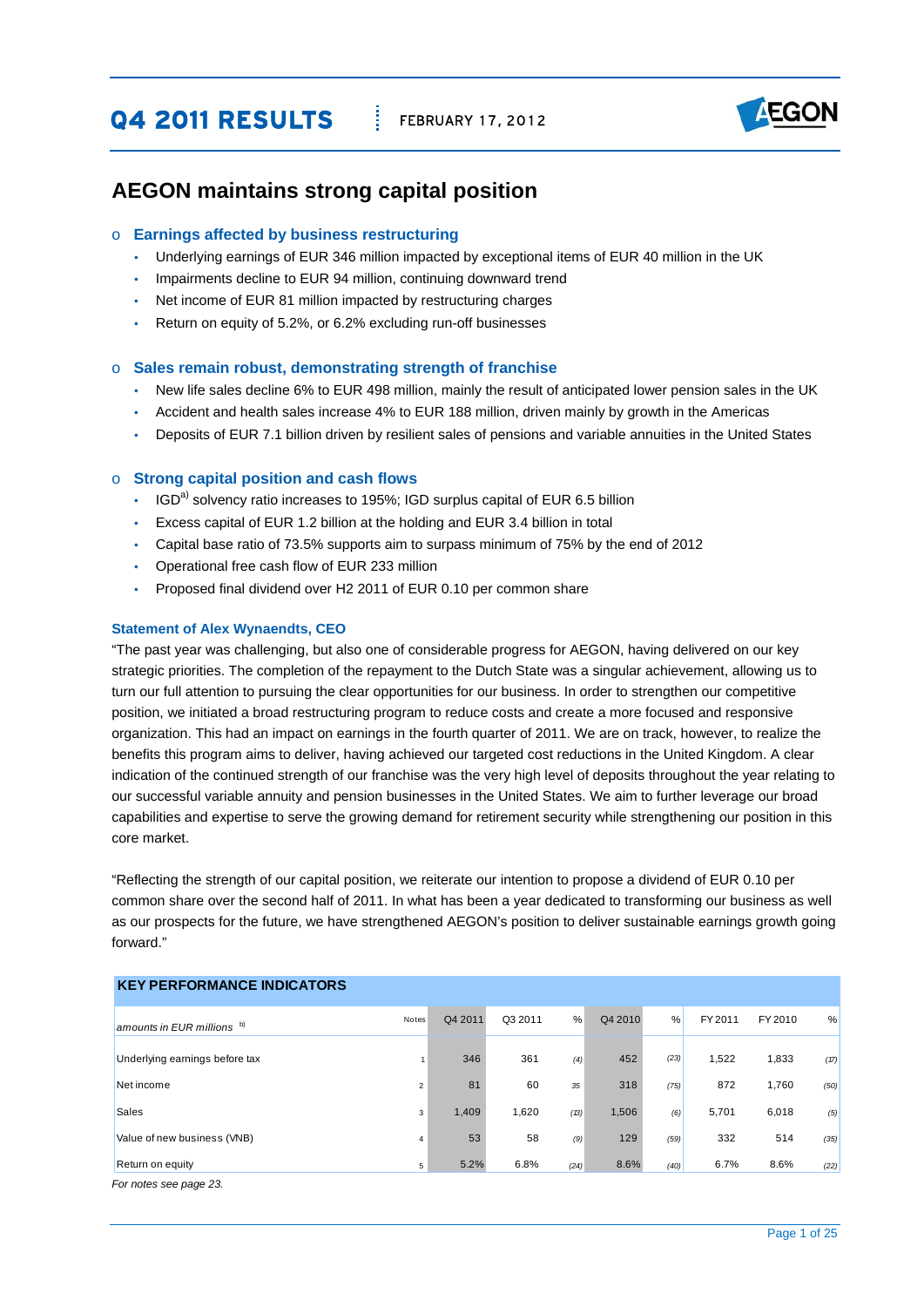# **Q4 2011 RESULTS** FEBRUARY 17, 2012



## **AEGON maintains strong capital position**

#### o **Earnings affected by business restructuring**

- Underlying earnings of EUR 346 million impacted by exceptional items of EUR 40 million in the UK
- Impairments decline to EUR 94 million, continuing downward trend
- Net income of EUR 81 million impacted by restructuring charges
- Return on equity of 5.2%, or 6.2% excluding run-off businesses

#### o **Sales remain robust, demonstrating strength of franchise**

- New life sales decline 6% to EUR 498 million, mainly the result of anticipated lower pension sales in the UK
- Accident and health sales increase 4% to EUR 188 million, driven mainly by growth in the Americas
- Deposits of EUR 7.1 billion driven by resilient sales of pensions and variable annuities in the United States

#### o **Strong capital position and cash flows**

- $\cdot$  IGD<sup>a)</sup> solvency ratio increases to 195%; IGD surplus capital of EUR 6.5 billion
- y Excess capital of EUR 1.2 billion at the holding and EUR 3.4 billion in total
- y Capital base ratio of 73.5% supports aim to surpass minimum of 75% by the end of 2012
- y Operational free cash flow of EUR 233 million
- Proposed final dividend over H2 2011 of EUR 0.10 per common share

#### **Statement of Alex Wynaendts, CEO**

"The past year was challenging, but also one of considerable progress for AEGON, having delivered on our key strategic priorities. The completion of the repayment to the Dutch State was a singular achievement, allowing us to turn our full attention to pursuing the clear opportunities for our business. In order to strengthen our competitive position, we initiated a broad restructuring program to reduce costs and create a more focused and responsive organization. This had an impact on earnings in the fourth quarter of 2011. We are on track, however, to realize the benefits this program aims to deliver, having achieved our targeted cost reductions in the United Kingdom. A clear indication of the continued strength of our franchise was the very high level of deposits throughout the year relating to our successful variable annuity and pension businesses in the United States. We aim to further leverage our broad capabilities and expertise to serve the growing demand for retirement security while strengthening our position in this core market.

"Reflecting the strength of our capital position, we reiterate our intention to propose a dividend of EUR 0.10 per common share over the second half of 2011. In what has been a year dedicated to transforming our business as well as our prospects for the future, we have strengthened AEGON's position to deliver sustainable earnings growth going forward."

| <b>KEY PERFORMANCE INDICATORS</b> |       |         |         |      |         |      |         |         |      |
|-----------------------------------|-------|---------|---------|------|---------|------|---------|---------|------|
| amounts in EUR millions b)        | Notes | Q4 2011 | Q3 2011 | %    | Q4 2010 | %    | FY 2011 | FY 2010 | %    |
| Underlying earnings before tax    |       | 346     | 361     | (4)  | 452     | (23) | 1,522   | 1,833   | (17) |
| Net income                        | 2     | 81      | 60      | 35   | 318     | (75) | 872     | 1,760   | (50) |
| <b>Sales</b>                      | 3     | 1,409   | 1,620   | (B)  | 1,506   | (6)  | 5,701   | 6,018   | (5)  |
| Value of new business (VNB)       | 4     | 53      | 58      | (9)  | 129     | (59) | 332     | 514     | (35) |
| Return on equity                  | 5     | 5.2%    | 6.8%    | (24) | 8.6%    | (40) | 6.7%    | 8.6%    | (22) |
| For notes see page 23.            |       |         |         |      |         |      |         |         |      |

#### Page 1 of 25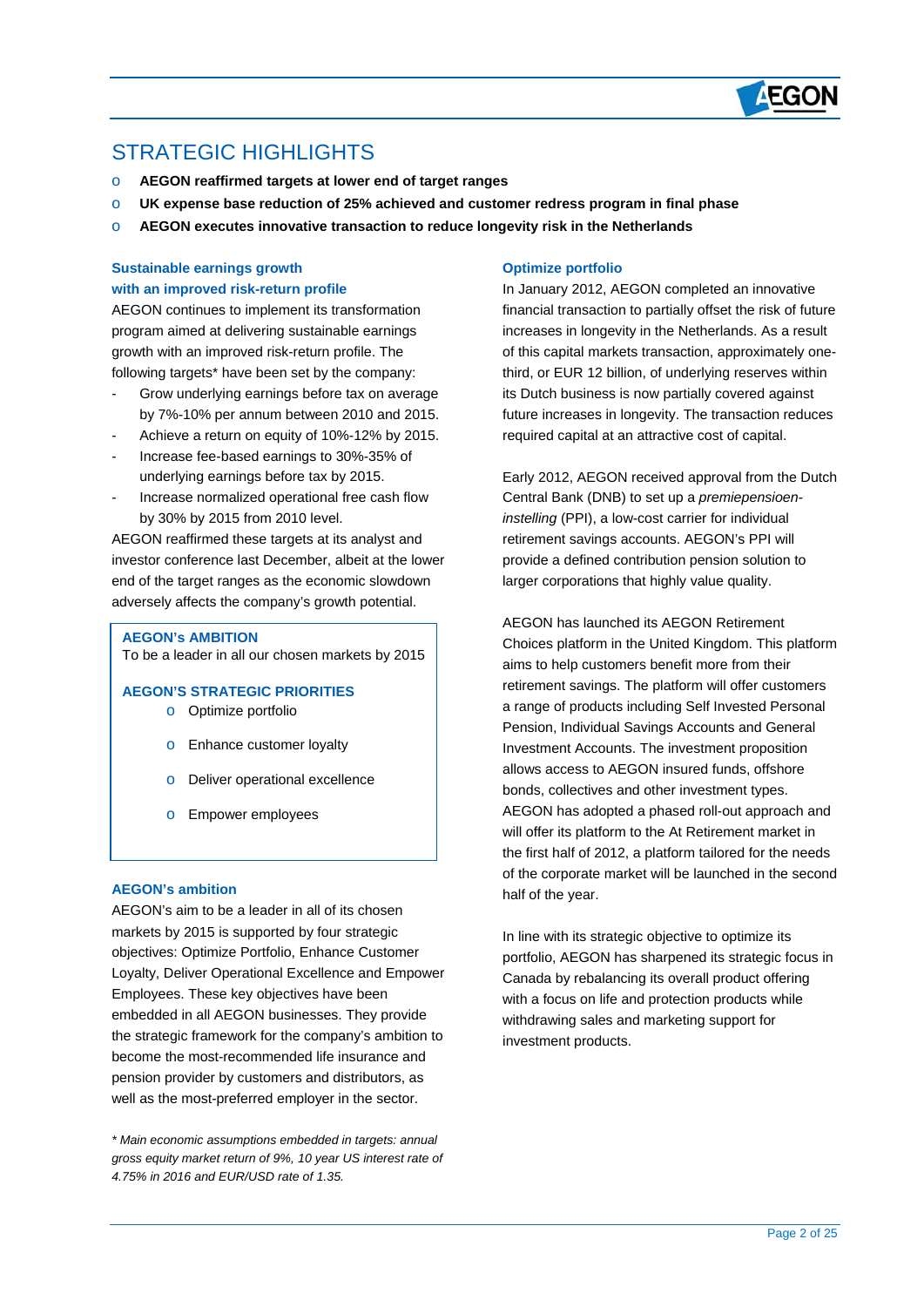

# STRATEGIC HIGHI IGHTS

 $\overline{a}$ 

- o **AEGON reaffirmed targets at lower end of target ranges**
- o **UK expense base reduction of 25% achieved and customer redress program in final phase**
- o **AEGON executes innovative transaction to reduce longevity risk in the Netherlands**

### **Sustainable earnings growth with an improved risk-return profile**

AEGON continues to implement its transformation program aimed at delivering sustainable earnings growth with an improved risk-return profile. The following targets\* have been set by the company:

- Grow underlying earnings before tax on average by 7%-10% per annum between 2010 and 2015.
- Achieve a return on equity of 10%-12% by 2015.
- Increase fee-based earnings to 30%-35% of underlying earnings before tax by 2015.
- Increase normalized operational free cash flow by 30% by 2015 from 2010 level.

AEGON reaffirmed these targets at its analyst and investor conference last December, albeit at the lower end of the target ranges as the economic slowdown adversely affects the company's growth potential.

#### **AEGON's AMBITION**

To be a leader in all our chosen markets by 2015

**AEGON'S STRATEGIC PRIORITIES** 

- o Optimize portfolio
- o Enhance customer loyalty
- o Deliver operational excellence
- o Empower employees

#### **AEGON's ambition**

AEGON's aim to be a leader in all of its chosen markets by 2015 is supported by four strategic objectives: Optimize Portfolio, Enhance Customer Loyalty, Deliver Operational Excellence and Empower Employees. These key objectives have been embedded in all AEGON businesses. They provide the strategic framework for the company's ambition to become the most-recommended life insurance and pension provider by customers and distributors, as well as the most-preferred employer in the sector.

*\* Main economic assumptions embedded in targets: annual gross equity market return of 9%, 10 year US interest rate of 4.75% in 2016 and EUR/USD rate of 1.35.*

#### **Optimize portfolio**

In January 2012, AEGON completed an innovative financial transaction to partially offset the risk of future increases in longevity in the Netherlands. As a result of this capital markets transaction, approximately onethird, or EUR 12 billion, of underlying reserves within its Dutch business is now partially covered against future increases in longevity. The transaction reduces required capital at an attractive cost of capital.

Early 2012, AEGON received approval from the Dutch Central Bank (DNB) to set up a *premiepensioeninstelling* (PPI), a low-cost carrier for individual retirement savings accounts. AEGON's PPI will provide a defined contribution pension solution to larger corporations that highly value quality.

AEGON has launched its AEGON Retirement Choices platform in the United Kingdom. This platform aims to help customers benefit more from their retirement savings. The platform will offer customers a range of products including Self Invested Personal Pension, Individual Savings Accounts and General Investment Accounts. The investment proposition allows access to AEGON insured funds, offshore bonds, collectives and other investment types. AEGON has adopted a phased roll-out approach and will offer its platform to the At Retirement market in the first half of 2012, a platform tailored for the needs of the corporate market will be launched in the second half of the year.

In line with its strategic objective to optimize its portfolio, AEGON has sharpened its strategic focus in Canada by rebalancing its overall product offering with a focus on life and protection products while withdrawing sales and marketing support for investment products.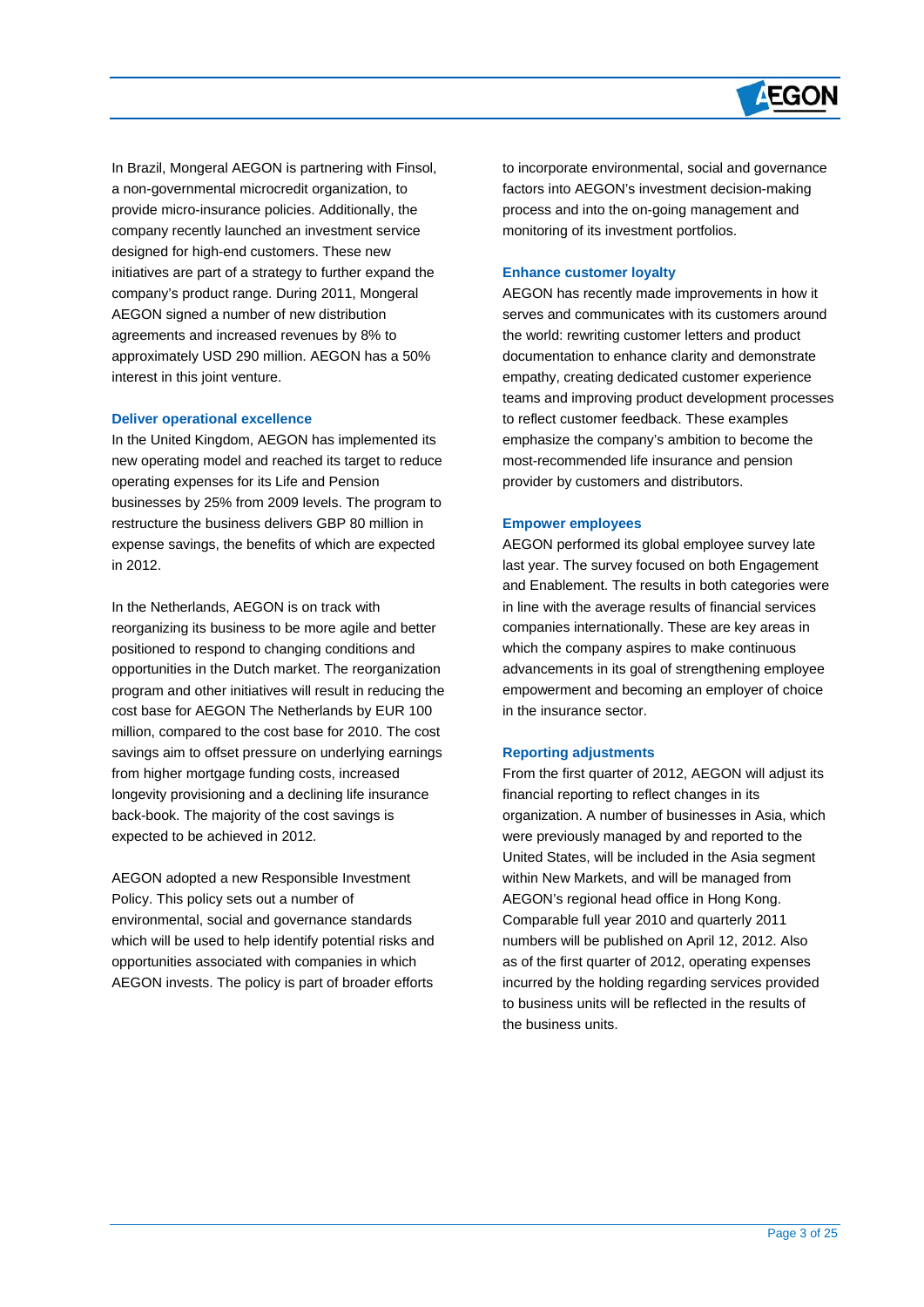

In Brazil, Mongeral AEGON is partnering with Finsol, a non-governmental microcredit organization, to provide micro-insurance policies. Additionally, the company recently launched an investment service designed for high-end customers. These new initiatives are part of a strategy to further expand the company's product range. During 2011, Mongeral AEGON signed a number of new distribution agreements and increased revenues by 8% to approximately USD 290 million. AEGON has a 50% interest in this joint venture.

#### **Deliver operational excellence**

 $\overline{a}$ 

In the United Kingdom, AEGON has implemented its new operating model and reached its target to reduce operating expenses for its Life and Pension businesses by 25% from 2009 levels. The program to restructure the business delivers GBP 80 million in expense savings, the benefits of which are expected in 2012.

In the Netherlands, AEGON is on track with reorganizing its business to be more agile and better positioned to respond to changing conditions and opportunities in the Dutch market. The reorganization program and other initiatives will result in reducing the cost base for AEGON The Netherlands by EUR 100 million, compared to the cost base for 2010. The cost savings aim to offset pressure on underlying earnings from higher mortgage funding costs, increased longevity provisioning and a declining life insurance back-book. The majority of the cost savings is expected to be achieved in 2012.

AEGON adopted a new Responsible Investment Policy. This policy sets out a number of environmental, social and governance standards which will be used to help identify potential risks and opportunities associated with companies in which AEGON invests. The policy is part of broader efforts

to incorporate environmental, social and governance factors into AEGON's investment decision-making process and into the on-going management and monitoring of its investment portfolios.

#### **Enhance customer loyalty**

AEGON has recently made improvements in how it serves and communicates with its customers around the world: rewriting customer letters and product documentation to enhance clarity and demonstrate empathy, creating dedicated customer experience teams and improving product development processes to reflect customer feedback. These examples emphasize the company's ambition to become the most-recommended life insurance and pension provider by customers and distributors.

#### **Empower employees**

AEGON performed its global employee survey late last year. The survey focused on both Engagement and Enablement. The results in both categories were in line with the average results of financial services companies internationally. These are key areas in which the company aspires to make continuous advancements in its goal of strengthening employee empowerment and becoming an employer of choice in the insurance sector.

#### **Reporting adjustments**

From the first quarter of 2012, AEGON will adjust its financial reporting to reflect changes in its organization. A number of businesses in Asia, which were previously managed by and reported to the United States, will be included in the Asia segment within New Markets, and will be managed from AEGON's regional head office in Hong Kong. Comparable full year 2010 and quarterly 2011 numbers will be published on April 12, 2012. Also as of the first quarter of 2012, operating expenses incurred by the holding regarding services provided to business units will be reflected in the results of the business units.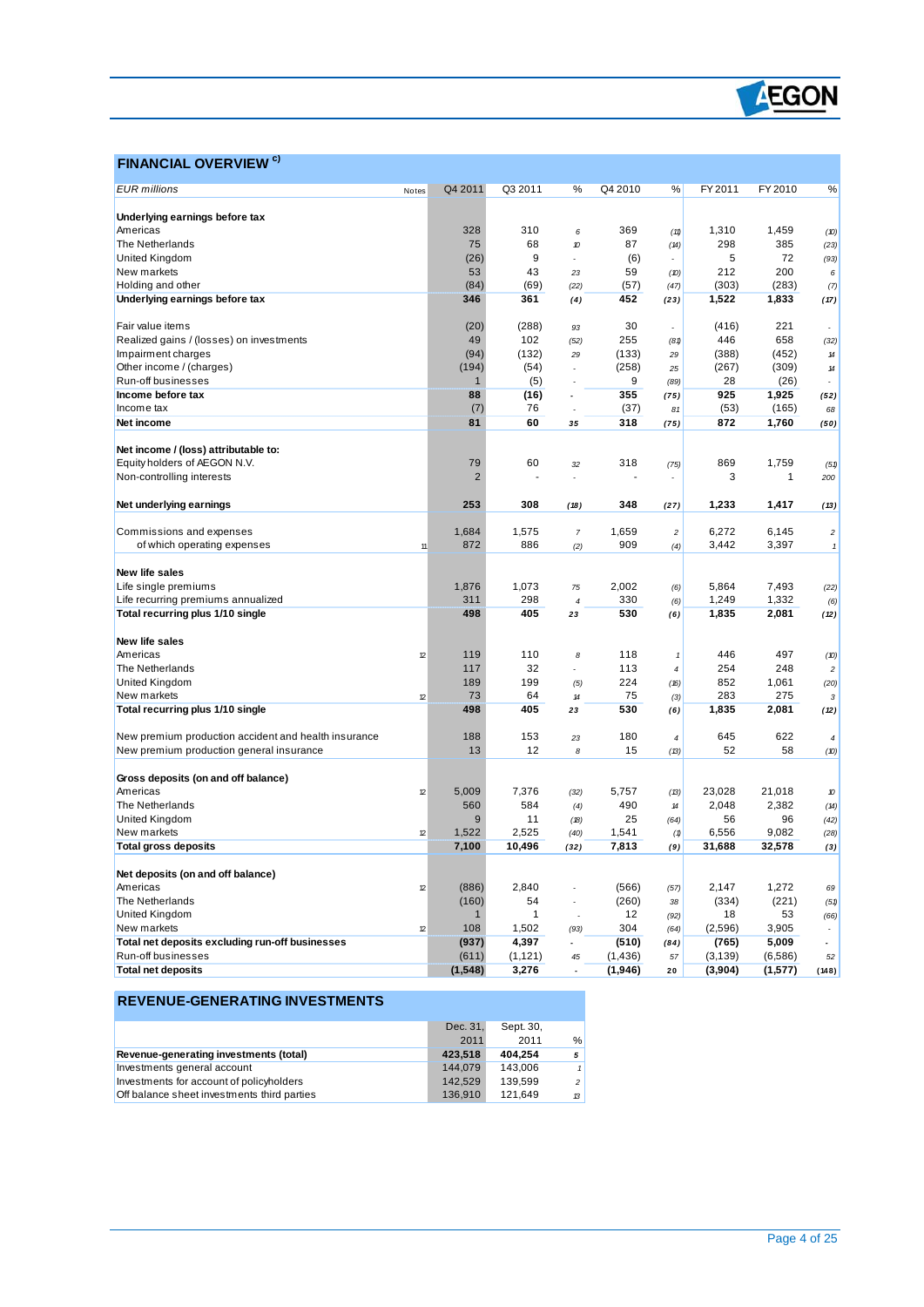

### **FINANCIAL OVERVIEW <sup>c)</sup>**

 $\overline{a}$ 

| <b>EUR</b> millions                                  | Notes | Q4 2011        | Q3 2011  | %                        | Q4 2010  | %                          | FY 2011  | FY 2010      | %                        |
|------------------------------------------------------|-------|----------------|----------|--------------------------|----------|----------------------------|----------|--------------|--------------------------|
|                                                      |       |                |          |                          |          |                            |          |              |                          |
| Underlying earnings before tax                       |       |                |          |                          |          |                            |          |              |                          |
| Americas                                             |       | 328            | 310      | 6                        | 369      | (11)                       | 1,310    | 1,459        | (10)                     |
| The Netherlands                                      |       | 75             | 68       | 10                       | 87       | (14)                       | 298      | 385          | (23)                     |
| <b>United Kingdom</b>                                |       | (26)           | 9        | $\overline{a}$           | (6)      | $\overline{a}$             | 5        | 72           | (93)                     |
| New markets                                          |       | 53             | 43       | 23                       | 59       | (D)                        | 212      | 200          | 6                        |
| Holding and other                                    |       | (84)           | (69)     | (22)                     | (57)     | (47)                       | (303)    | (283)        | (7)                      |
| Underlying earnings before tax                       |       | 346            | 361      | (4)                      | 452      | (23)                       | 1,522    | 1,833        | (17)                     |
|                                                      |       |                |          |                          |          |                            |          |              |                          |
| Fair value items                                     |       | (20)           | (288)    | 93                       | 30       | $\overline{a}$             | (416)    | 221          |                          |
| Realized gains / (losses) on investments             |       | 49             | 102      | (52)                     | 255      | (81)                       | 446      | 658          | (32)                     |
| Impairment charges                                   |       | (94)           | (132)    | 29                       | (133)    | 29                         | (388)    | (452)        | $14\,$                   |
| Other income / (charges)                             |       | (194)          | (54)     | $\overline{a}$           | (258)    | 25                         | (267)    | (309)        | $14\,$                   |
| Run-off businesses                                   |       | -1             | (5)      |                          | 9        |                            | 28       | (26)         |                          |
|                                                      |       |                |          |                          | 355      | (89)                       | 925      |              |                          |
| Income before tax                                    |       | 88             | (16)     | $\overline{\phantom{a}}$ |          | (75)                       |          | 1,925        | (52)                     |
| Income tax                                           |       | (7)            | 76       |                          | (37)     | 81                         | (53)     | (165)        | 68                       |
| Net income                                           |       | 81             | 60       | 35                       | 318      | (75)                       | 872      | 1,760        | (50)                     |
|                                                      |       |                |          |                          |          |                            |          |              |                          |
| Net income / (loss) attributable to:                 |       |                |          |                          |          |                            |          |              |                          |
| Equity holders of AEGON N.V.                         |       | 79             | 60       | 32                       | 318      | (75)                       | 869      | 1,759        | (51)                     |
| Non-controlling interests                            |       | $\overline{2}$ |          |                          |          |                            | 3        | $\mathbf{1}$ | 200                      |
|                                                      |       |                |          |                          |          |                            |          |              |                          |
| Net underlying earnings                              |       | 253            | 308      | (18)                     | 348      | (27)                       | 1,233    | 1,417        | (13)                     |
|                                                      |       |                |          |                          |          |                            |          |              |                          |
| Commissions and expenses                             |       | 1,684          | 1,575    | $\boldsymbol{7}$         | 1,659    | $\overline{c}$             | 6,272    | 6,145        | $\boldsymbol{2}$         |
| of which operating expenses                          | 11    | 872            | 886      | (2)                      | 909      | (4)                        | 3,442    | 3,397        | $\pmb{\mathcal{I}}$      |
|                                                      |       |                |          |                          |          |                            |          |              |                          |
| <b>New life sales</b>                                |       |                |          |                          |          |                            |          |              |                          |
| Life single premiums                                 |       | 1,876          | 1,073    | 75                       | 2,002    | (6)                        | 5,864    | 7,493        | (22)                     |
| Life recurring premiums annualized                   |       | 311            | 298      | 4                        | 330      | (6)                        | 1,249    | 1,332        | (6)                      |
| Total recurring plus 1/10 single                     |       | 498            | 405      | 23                       | 530      | (6)                        | 1,835    | 2,081        | (12)                     |
|                                                      |       |                |          |                          |          |                            |          |              |                          |
| New life sales                                       |       |                |          |                          |          |                            |          |              |                          |
| Americas                                             | 12    | 119            | 110      | 8                        | 118      | $\mathbf{1}$               | 446      | 497          | (10)                     |
| The Netherlands                                      |       | 117            | 32       | $\overline{a}$           | 113      | $\boldsymbol{4}$           | 254      | 248          | $\boldsymbol{2}$         |
| United Kingdom                                       |       | 189            | 199      |                          | 224      |                            | 852      | 1,061        |                          |
|                                                      | 12    | 73             | 64       | (5)                      | 75       | (16)                       | 283      | 275          | (20)                     |
| New markets                                          |       |                |          | 14                       |          | (3)                        |          |              | 3                        |
| Total recurring plus 1/10 single                     |       | 498            | 405      | 23                       | 530      | (6)                        | 1,835    | 2,081        | (12)                     |
|                                                      |       |                |          |                          |          |                            |          |              |                          |
| New premium production accident and health insurance |       | 188            | 153      | 23                       | 180      | $\overline{4}$             | 645      | 622          | $\overline{4}$           |
| New premium production general insurance             |       | 13             | 12       | 8                        | 15       | (13)                       | 52       | 58           | (10)                     |
|                                                      |       |                |          |                          |          |                            |          |              |                          |
| Gross deposits (on and off balance)                  |       |                |          |                          |          |                            |          |              |                          |
| Americas                                             | 12    | 5,009          | 7,376    | (32)                     | 5,757    | (13)                       | 23,028   | 21,018       | 10                       |
| The Netherlands                                      |       | 560            | 584      | (4)                      | 490      | $\boldsymbol{\mathcal{H}}$ | 2,048    | 2,382        | (14)                     |
| United Kingdom                                       |       | 9              | 11       | (B)                      | 25       | (64)                       | 56       | 96           | (42)                     |
| New markets                                          | 12    | 1,522          | 2,525    | (40)                     | 1,541    | (1)                        | 6,556    | 9,082        | (28)                     |
| <b>Total gross deposits</b>                          |       | 7,100          | 10,496   | (32)                     | 7,813    | (9)                        | 31,688   | 32,578       | (3)                      |
|                                                      |       |                |          |                          |          |                            |          |              |                          |
| Net deposits (on and off balance)                    |       |                |          |                          |          |                            |          |              |                          |
| Americas                                             | 12    | (886)          | 2,840    |                          | (566)    | (57)                       | 2,147    | 1,272        | 69                       |
| The Netherlands                                      |       | (160)          | 54       | ÷,                       | (260)    | 38                         | (334)    | (221)        | (51)                     |
| United Kingdom                                       |       | $\mathbf 1$    | 1        |                          | 12       | (92)                       | 18       | 53           | (66)                     |
| New markets                                          | 12    | 108            | 1,502    | (93)                     | 304      | (64)                       | (2,596)  | 3,905        |                          |
| Total net deposits excluding run-off businesses      |       | (937)          | 4,397    | $\overline{a}$           | (510)    | (84)                       | (765)    | 5,009        | $\overline{\phantom{a}}$ |
| Run-off businesses                                   |       | (611)          | (1, 121) | 45                       | (1, 436) | 57                         | (3, 139) | (6, 586)     | 52                       |
| <b>Total net deposits</b>                            |       | (1, 548)       | 3,276    | $\overline{a}$           | (1, 946) | 20                         | (3,904)  |              | (148)                    |
|                                                      |       |                |          |                          |          |                            |          | (1,577)      |                          |

### **REVENUE-GENERATING INVESTMENTS**

|                                             | Dec. 31, | Sept. 30. |                          |
|---------------------------------------------|----------|-----------|--------------------------|
|                                             | 2011     | 2011      | %                        |
| Revenue-generating investments (total)      | 423.518  | 404.254   | 5                        |
| Investments general account                 | 144,079  | 143.006   |                          |
| Investments for account of policyholders    | 142.529  | 139.599   | $\overline{\phantom{a}}$ |
| Off balance sheet investments third parties | 136.910  | 121.649   | 13                       |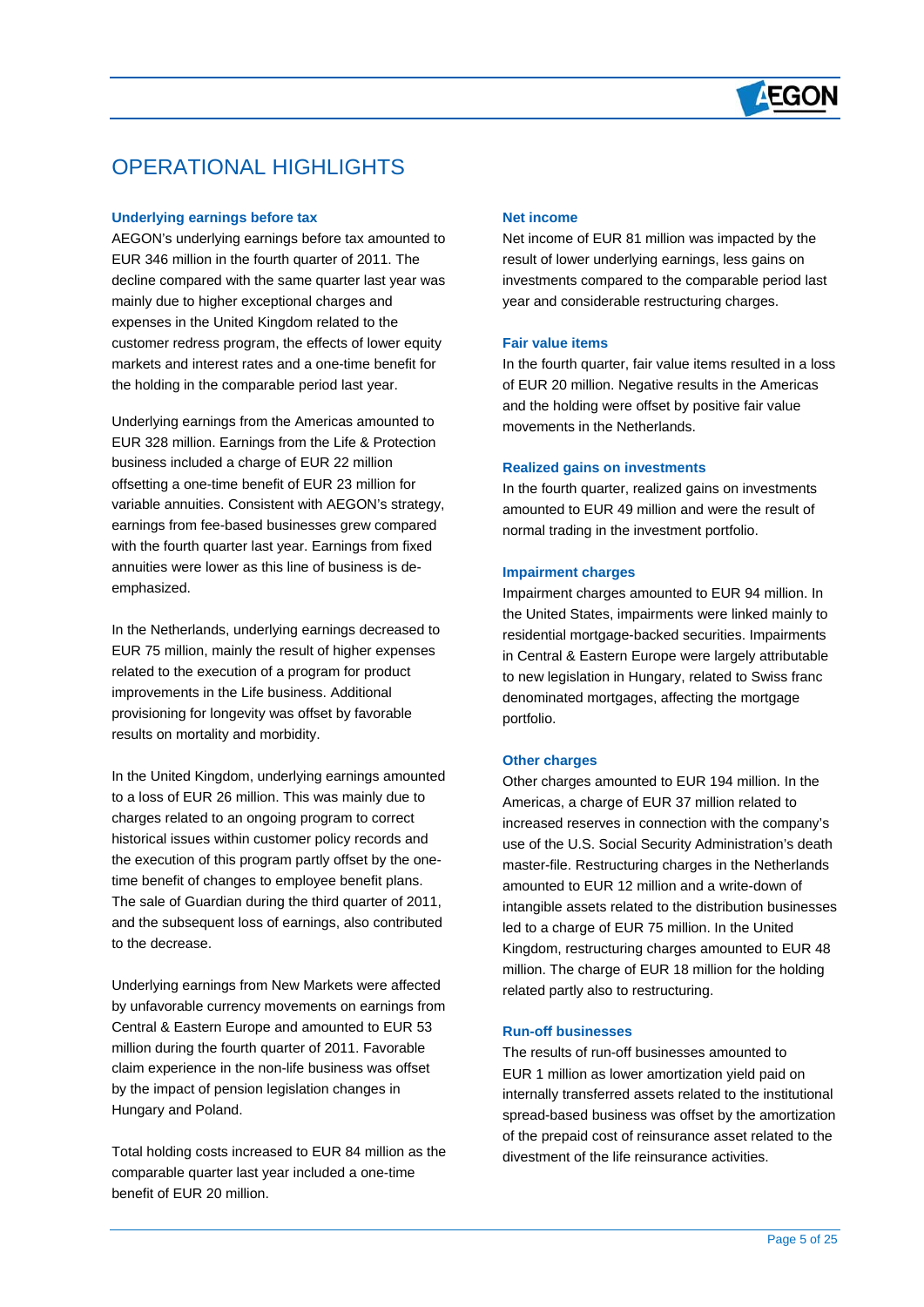

# OPERATIONAL HIGHLIGHTS

#### **Underlying earnings before tax**

 $\overline{a}$ 

AEGON's underlying earnings before tax amounted to EUR 346 million in the fourth quarter of 2011. The decline compared with the same quarter last year was mainly due to higher exceptional charges and expenses in the United Kingdom related to the customer redress program, the effects of lower equity markets and interest rates and a one-time benefit for the holding in the comparable period last year.

Underlying earnings from the Americas amounted to EUR 328 million. Earnings from the Life & Protection business included a charge of EUR 22 million offsetting a one-time benefit of EUR 23 million for variable annuities. Consistent with AEGON's strategy, earnings from fee-based businesses grew compared with the fourth quarter last year. Earnings from fixed annuities were lower as this line of business is deemphasized.

In the Netherlands, underlying earnings decreased to EUR 75 million, mainly the result of higher expenses related to the execution of a program for product improvements in the Life business. Additional provisioning for longevity was offset by favorable results on mortality and morbidity.

In the United Kingdom, underlying earnings amounted to a loss of EUR 26 million. This was mainly due to charges related to an ongoing program to correct historical issues within customer policy records and the execution of this program partly offset by the onetime benefit of changes to employee benefit plans. The sale of Guardian during the third quarter of 2011, and the subsequent loss of earnings, also contributed to the decrease.

Underlying earnings from New Markets were affected by unfavorable currency movements on earnings from Central & Eastern Europe and amounted to EUR 53 million during the fourth quarter of 2011. Favorable claim experience in the non-life business was offset by the impact of pension legislation changes in Hungary and Poland.

Total holding costs increased to EUR 84 million as the comparable quarter last year included a one-time benefit of EUR 20 million.

#### **Net income**

Net income of EUR 81 million was impacted by the result of lower underlying earnings, less gains on investments compared to the comparable period last year and considerable restructuring charges.

#### **Fair value items**

In the fourth quarter, fair value items resulted in a loss of EUR 20 million. Negative results in the Americas and the holding were offset by positive fair value movements in the Netherlands.

#### **Realized gains on investments**

In the fourth quarter, realized gains on investments amounted to EUR 49 million and were the result of normal trading in the investment portfolio.

#### **Impairment charges**

Impairment charges amounted to EUR 94 million. In the United States, impairments were linked mainly to residential mortgage-backed securities. Impairments in Central & Eastern Europe were largely attributable to new legislation in Hungary, related to Swiss franc denominated mortgages, affecting the mortgage portfolio.

#### **Other charges**

Other charges amounted to EUR 194 million. In the Americas, a charge of EUR 37 million related to increased reserves in connection with the company's use of the U.S. Social Security Administration's death master-file. Restructuring charges in the Netherlands amounted to EUR 12 million and a write-down of intangible assets related to the distribution businesses led to a charge of EUR 75 million. In the United Kingdom, restructuring charges amounted to EUR 48 million. The charge of EUR 18 million for the holding related partly also to restructuring.

#### **Run-off businesses**

The results of run-off businesses amounted to EUR 1 million as lower amortization yield paid on internally transferred assets related to the institutional spread-based business was offset by the amortization of the prepaid cost of reinsurance asset related to the divestment of the life reinsurance activities.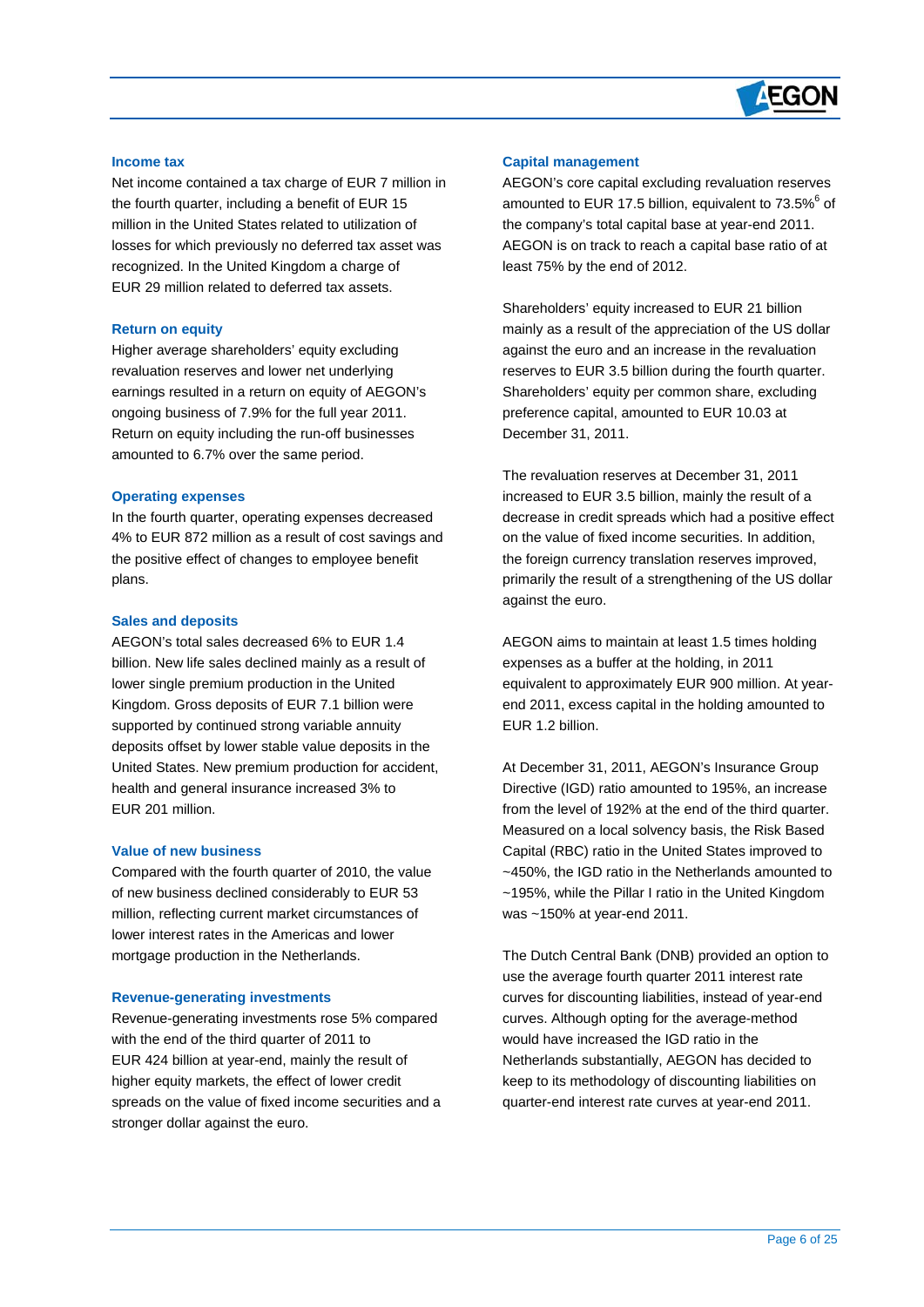

#### **Income tax**

 $\overline{a}$ 

Net income contained a tax charge of EUR 7 million in the fourth quarter, including a benefit of EUR 15 million in the United States related to utilization of losses for which previously no deferred tax asset was recognized. In the United Kingdom a charge of EUR 29 million related to deferred tax assets.

#### **Return on equity**

Higher average shareholders' equity excluding revaluation reserves and lower net underlying earnings resulted in a return on equity of AEGON's ongoing business of 7.9% for the full year 2011. Return on equity including the run-off businesses amounted to 6.7% over the same period.

#### **Operating expenses**

In the fourth quarter, operating expenses decreased 4% to EUR 872 million as a result of cost savings and the positive effect of changes to employee benefit plans.

#### **Sales and deposits**

AEGON's total sales decreased 6% to EUR 1.4 billion. New life sales declined mainly as a result of lower single premium production in the United Kingdom. Gross deposits of EUR 7.1 billion were supported by continued strong variable annuity deposits offset by lower stable value deposits in the United States. New premium production for accident, health and general insurance increased 3% to EUR 201 million.

#### **Value of new business**

Compared with the fourth quarter of 2010, the value of new business declined considerably to EUR 53 million, reflecting current market circumstances of lower interest rates in the Americas and lower mortgage production in the Netherlands.

#### **Revenue-generating investments**

Revenue-generating investments rose 5% compared with the end of the third quarter of 2011 to EUR 424 billion at year-end, mainly the result of higher equity markets, the effect of lower credit spreads on the value of fixed income securities and a stronger dollar against the euro.

#### **Capital management**

AEGON's core capital excluding revaluation reserves amounted to EUR 17.5 billion, equivalent to 73.5%<sup>6</sup> of the company's total capital base at year-end 2011. AEGON is on track to reach a capital base ratio of at least 75% by the end of 2012.

Shareholders' equity increased to EUR 21 billion mainly as a result of the appreciation of the US dollar against the euro and an increase in the revaluation reserves to EUR 3.5 billion during the fourth quarter. Shareholders' equity per common share, excluding preference capital, amounted to EUR 10.03 at December 31, 2011.

The revaluation reserves at December 31, 2011 increased to EUR 3.5 billion, mainly the result of a decrease in credit spreads which had a positive effect on the value of fixed income securities. In addition, the foreign currency translation reserves improved. primarily the result of a strengthening of the US dollar against the euro.

AEGON aims to maintain at least 1.5 times holding expenses as a buffer at the holding, in 2011 equivalent to approximately EUR 900 million. At yearend 2011, excess capital in the holding amounted to FUR 1.2 billion

At December 31, 2011, AEGON's Insurance Group Directive (IGD) ratio amounted to 195%, an increase from the level of 192% at the end of the third quarter. Measured on a local solvency basis, the Risk Based Capital (RBC) ratio in the United States improved to ~450%, the IGD ratio in the Netherlands amounted to ~195%, while the Pillar I ratio in the United Kingdom was ~150% at year-end 2011.

The Dutch Central Bank (DNB) provided an option to use the average fourth quarter 2011 interest rate curves for discounting liabilities, instead of year-end curves. Although opting for the average-method would have increased the IGD ratio in the Netherlands substantially, AEGON has decided to keep to its methodology of discounting liabilities on quarter-end interest rate curves at year-end 2011.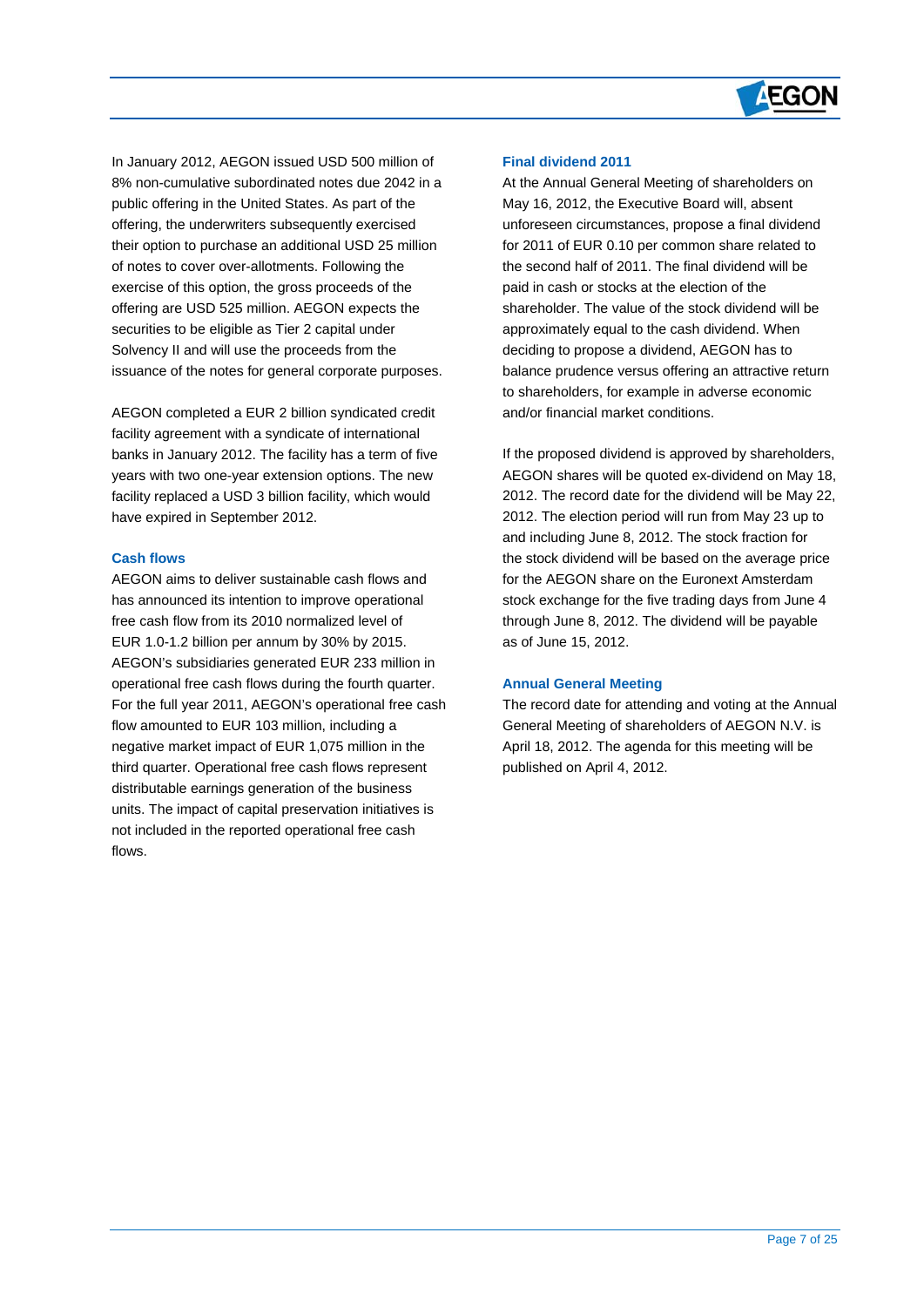

In January 2012, AEGON issued USD 500 million of 8% non-cumulative subordinated notes due 2042 in a public offering in the United States. As part of the offering, the underwriters subsequently exercised their option to purchase an additional USD 25 million of notes to cover over-allotments. Following the exercise of this option, the gross proceeds of the offering are USD 525 million. AEGON expects the securities to be eligible as Tier 2 capital under Solvency II and will use the proceeds from the issuance of the notes for general corporate purposes.

AEGON completed a EUR 2 billion syndicated credit facility agreement with a syndicate of international banks in January 2012. The facility has a term of five years with two one-year extension options. The new facility replaced a USD 3 billion facility, which would have expired in September 2012.

#### **Cash flows**

 $\overline{a}$ 

AEGON aims to deliver sustainable cash flows and has announced its intention to improve operational free cash flow from its 2010 normalized level of EUR 1.0-1.2 billion per annum by 30% by 2015. AEGON's subsidiaries generated EUR 233 million in operational free cash flows during the fourth quarter. For the full year 2011, AEGON's operational free cash flow amounted to EUR 103 million, including a negative market impact of EUR 1,075 million in the third quarter. Operational free cash flows represent distributable earnings generation of the business units. The impact of capital preservation initiatives is not included in the reported operational free cash flows.

#### **Final dividend 2011**

At the Annual General Meeting of shareholders on May 16, 2012, the Executive Board will, absent unforeseen circumstances, propose a final dividend for 2011 of EUR 0.10 per common share related to the second half of 2011. The final dividend will be paid in cash or stocks at the election of the shareholder. The value of the stock dividend will be approximately equal to the cash dividend. When deciding to propose a dividend, AEGON has to balance prudence versus offering an attractive return to shareholders, for example in adverse economic and/or financial market conditions.

If the proposed dividend is approved by shareholders, AEGON shares will be quoted ex-dividend on May 18, 2012. The record date for the dividend will be May 22, 2012. The election period will run from May 23 up to and including June 8, 2012. The stock fraction for the stock dividend will be based on the average price for the AEGON share on the Euronext Amsterdam stock exchange for the five trading days from June 4 through June 8, 2012. The dividend will be payable as of June 15, 2012.

#### **Annual General Meeting**

The record date for attending and voting at the Annual General Meeting of shareholders of AEGON N.V. is April 18, 2012. The agenda for this meeting will be published on April 4, 2012.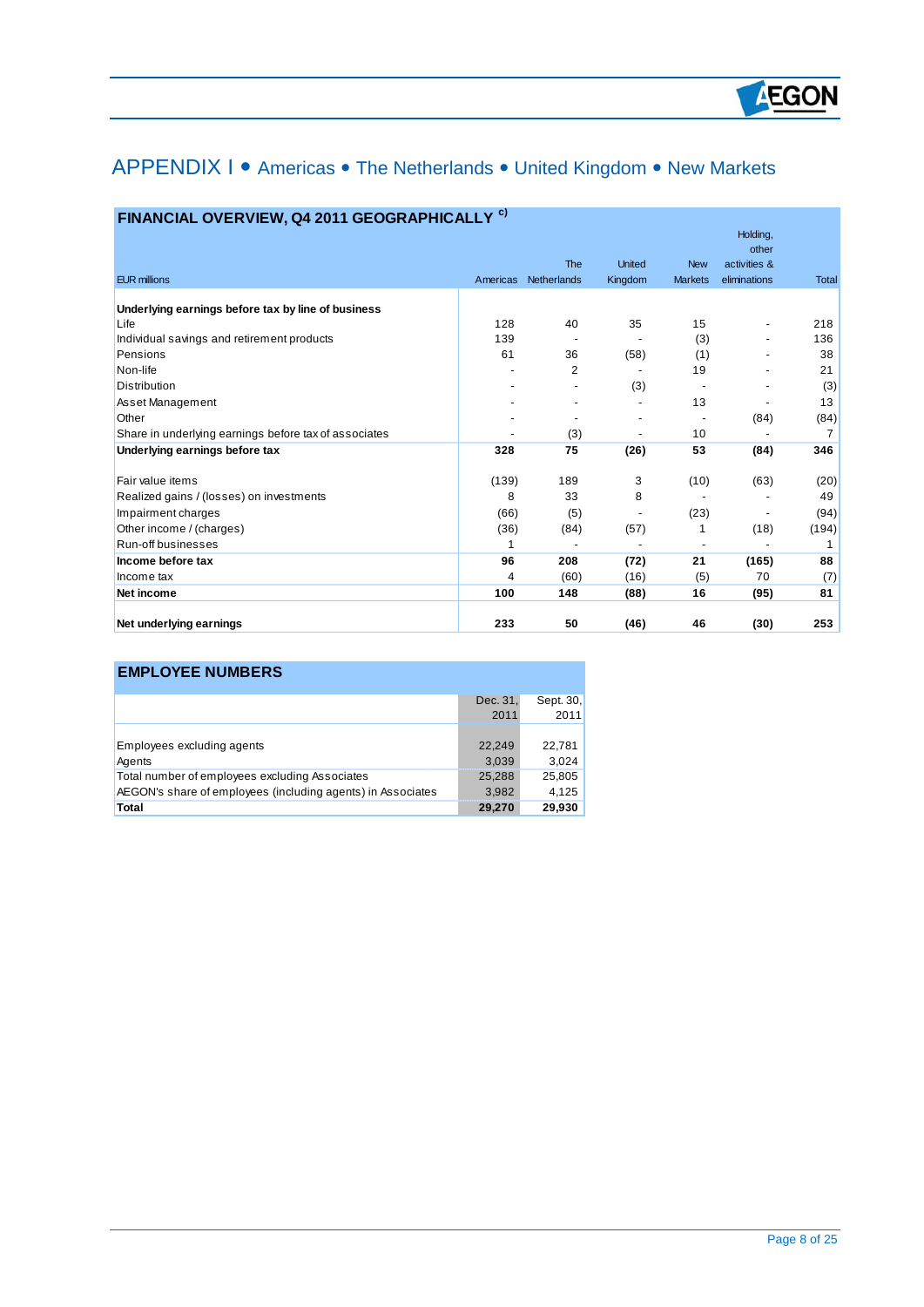# APPENDIX I • Americas • The Netherlands • United Kingdom • New Markets

| FINANCIAL OVERVIEW, Q4 2011 GEOGRAPHICALLY <sup>c)</sup> |          |             |               |                |                                   |                |
|----------------------------------------------------------|----------|-------------|---------------|----------------|-----------------------------------|----------------|
|                                                          |          | <b>The</b>  | <b>United</b> | <b>New</b>     | Holding,<br>other<br>activities & |                |
| <b>EUR millions</b>                                      | Americas | Netherlands | Kingdom       | <b>Markets</b> | eliminations                      | <b>Total</b>   |
|                                                          |          |             |               |                |                                   |                |
| Underlying earnings before tax by line of business       |          |             |               |                |                                   |                |
| Life                                                     | 128      | 40          | 35            | 15             | -                                 | 218            |
| Individual savings and retirement products               | 139      |             |               | (3)            |                                   | 136            |
| Pensions                                                 | 61       | 36          | (58)          | (1)            |                                   | 38             |
| Non-life                                                 |          | 2           |               | 19             |                                   | 21             |
| <b>Distribution</b>                                      |          |             | (3)           |                |                                   | (3)            |
| Asset Management                                         |          |             |               | 13             |                                   | 13             |
| Other                                                    |          |             |               |                | (84)                              | (84)           |
| Share in underlying earnings before tax of associates    |          | (3)         |               | 10             |                                   | $\overline{7}$ |
| Underlying earnings before tax                           | 328      | 75          | (26)          | 53             | (84)                              | 346            |
| Fair value items                                         | (139)    | 189         | 3             | (10)           | (63)                              | (20)           |
| Realized gains / (losses) on investments                 | 8        | 33          | 8             |                |                                   | 49             |
| Impairment charges                                       | (66)     | (5)         |               | (23)           | -                                 | (94)           |
| Other income / (charges)                                 | (36)     | (84)        | (57)          |                | (18)                              | (194)          |
| Run-off businesses                                       |          |             |               |                |                                   |                |
| Income before tax                                        | 96       | 208         | (72)          | 21             | (165)                             | 88             |
| Income tax                                               | 4        | (60)        | (16)          | (5)            | 70                                | (7)            |
| Net income                                               | 100      | 148         | (88)          | 16             | (95)                              | 81             |
| Net underlying earnings                                  | 233      | 50          | (46)          | 46             | (30)                              | 253            |

### **EMPLOYEE NUMBERS**

 $\overline{a}$ 

|                                                             | Dec. 31, | Sept. 30, |
|-------------------------------------------------------------|----------|-----------|
|                                                             | 2011     | 2011      |
|                                                             |          |           |
| Employees excluding agents                                  | 22,249   | 22.781    |
| Agents                                                      | 3,039    | 3,024     |
| Total number of employees excluding Associates              | 25,288   | 25,805    |
| AEGON's share of employees (including agents) in Associates | 3,982    | 4.125     |
| Total                                                       | 29,270   | 29,930    |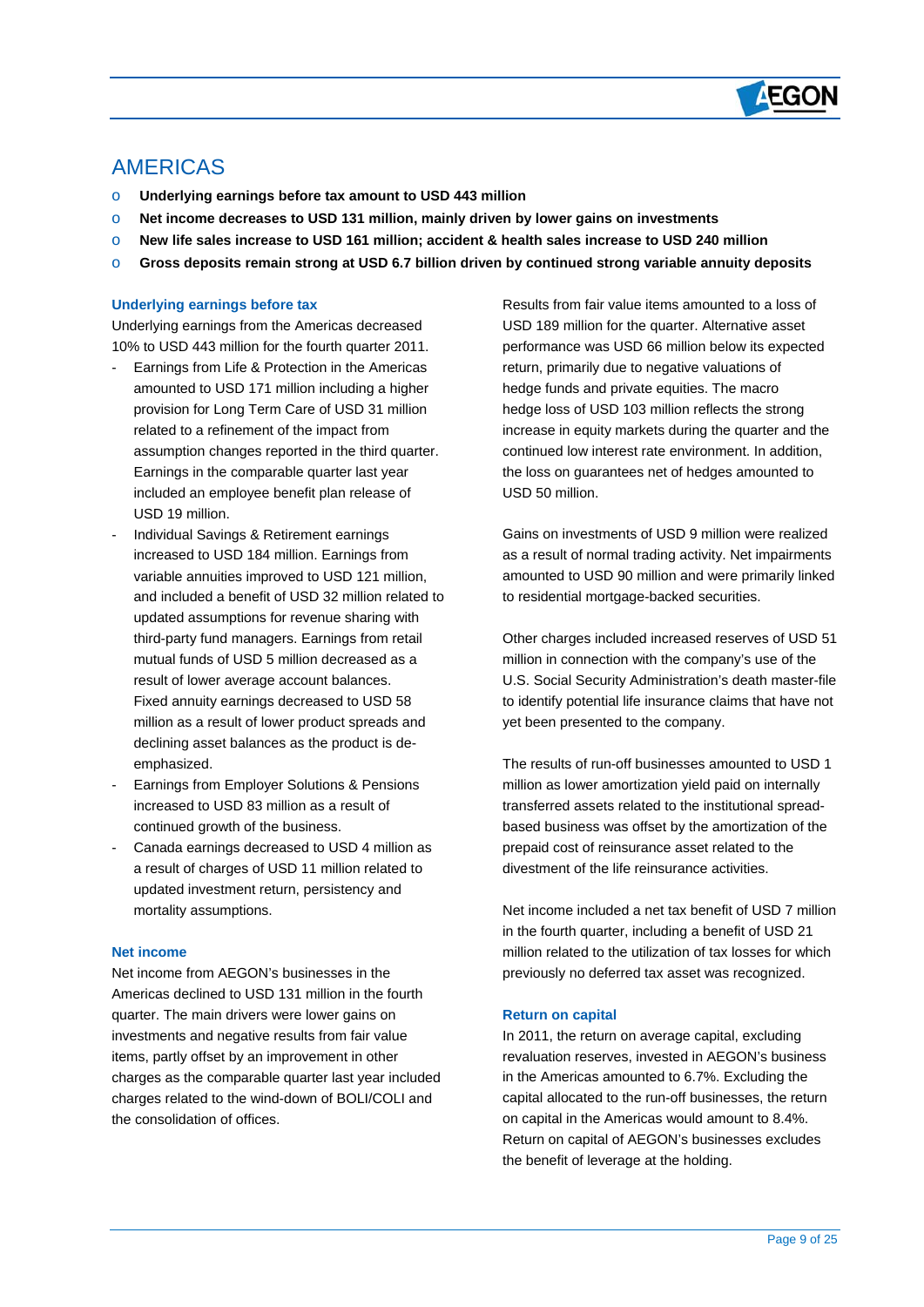

## AMERICAS

 $\overline{a}$ 

- o **Underlying earnings before tax amount to USD 443 million**
- o **Net income decreases to USD 131 million, mainly driven by lower gains on investments**
- o **New life sales increase to USD 161 million; accident & health sales increase to USD 240 million**
- o **Gross deposits remain strong at USD 6.7 billion driven by continued strong variable annuity deposits**

#### **Underlying earnings before tax**

Underlying earnings from the Americas decreased 10% to USD 443 million for the fourth quarter 2011.

- Earnings from Life & Protection in the Americas amounted to USD 171 million including a higher provision for Long Term Care of USD 31 million related to a refinement of the impact from assumption changes reported in the third quarter. Earnings in the comparable quarter last year included an employee benefit plan release of USD 19 million.
- Individual Savings & Retirement earnings increased to USD 184 million. Earnings from variable annuities improved to USD 121 million, and included a benefit of USD 32 million related to updated assumptions for revenue sharing with third-party fund managers. Earnings from retail mutual funds of USD 5 million decreased as a result of lower average account balances. Fixed annuity earnings decreased to USD 58 million as a result of lower product spreads and declining asset balances as the product is deemphasized.
- Earnings from Employer Solutions & Pensions increased to USD 83 million as a result of continued growth of the business.
- Canada earnings decreased to USD 4 million as a result of charges of USD 11 million related to updated investment return, persistency and mortality assumptions.

#### **Net income**

Net income from AEGON's businesses in the Americas declined to USD 131 million in the fourth quarter. The main drivers were lower gains on investments and negative results from fair value items, partly offset by an improvement in other charges as the comparable quarter last year included charges related to the wind-down of BOLI/COLI and the consolidation of offices.

Results from fair value items amounted to a loss of USD 189 million for the quarter. Alternative asset performance was USD 66 million below its expected return, primarily due to negative valuations of hedge funds and private equities. The macro hedge loss of USD 103 million reflects the strong increase in equity markets during the quarter and the continued low interest rate environment. In addition, the loss on guarantees net of hedges amounted to USD 50 million.

Gains on investments of USD 9 million were realized as a result of normal trading activity. Net impairments amounted to USD 90 million and were primarily linked to residential mortgage-backed securities.

Other charges included increased reserves of USD 51 million in connection with the company's use of the U.S. Social Security Administration's death master-file to identify potential life insurance claims that have not yet been presented to the company.

The results of run-off businesses amounted to USD 1 million as lower amortization yield paid on internally transferred assets related to the institutional spreadbased business was offset by the amortization of the prepaid cost of reinsurance asset related to the divestment of the life reinsurance activities.

Net income included a net tax benefit of USD 7 million in the fourth quarter, including a benefit of USD 21 million related to the utilization of tax losses for which previously no deferred tax asset was recognized.

#### **Return on capital**

In 2011, the return on average capital, excluding revaluation reserves, invested in AEGON's business in the Americas amounted to 6.7%. Excluding the capital allocated to the run-off businesses, the return on capital in the Americas would amount to 8.4%. Return on capital of AEGON's businesses excludes the benefit of leverage at the holding.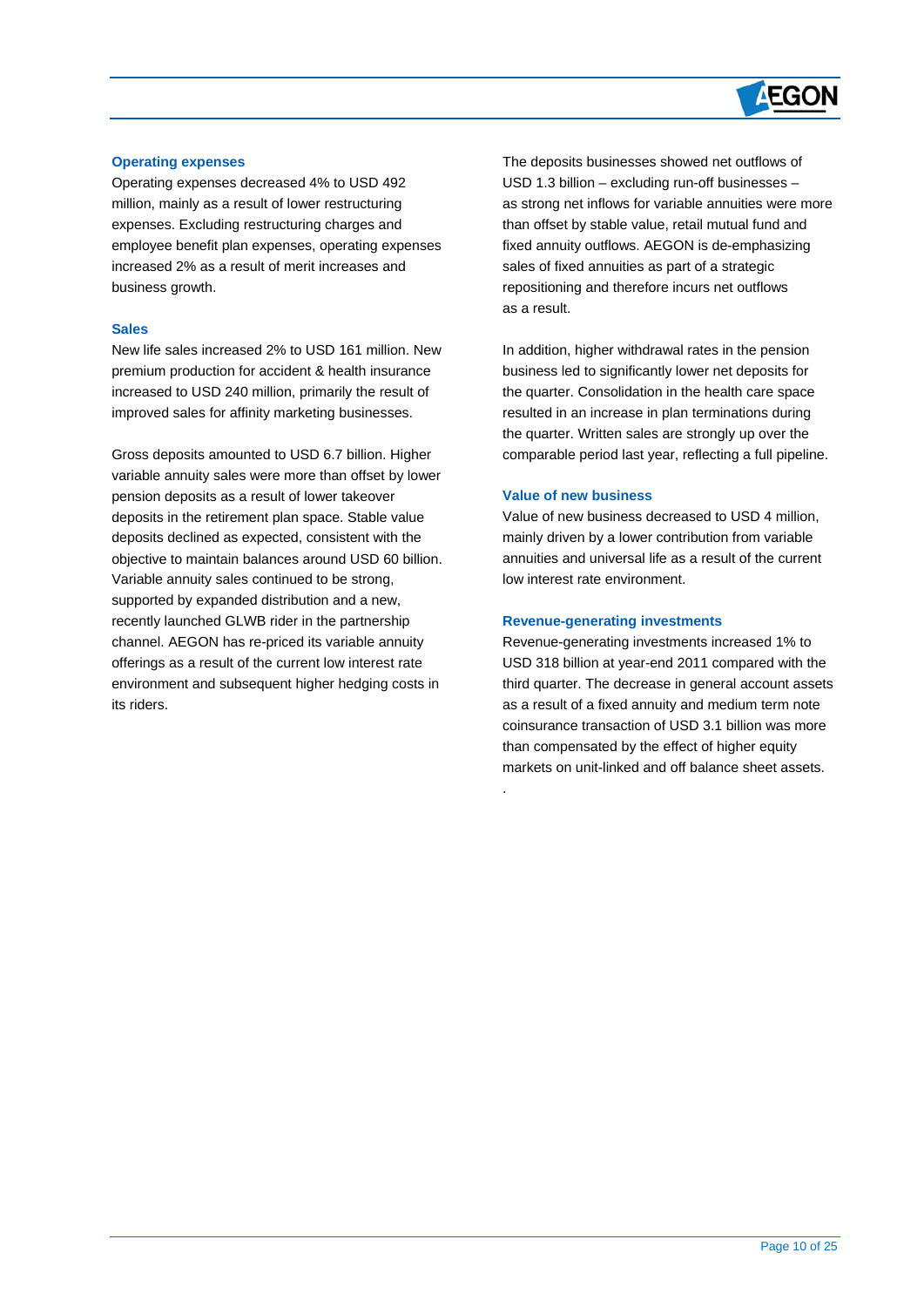# **AEGON**

#### **Operating expenses**

Operating expenses decreased 4% to USD 492 million, mainly as a result of lower restructuring expenses. Excluding restructuring charges and employee benefit plan expenses, operating expenses increased 2% as a result of merit increases and business growth.

#### **Sales**

 $\overline{a}$ 

New life sales increased 2% to USD 161 million. New premium production for accident & health insurance increased to USD 240 million, primarily the result of improved sales for affinity marketing businesses.

Gross deposits amounted to USD 6.7 billion. Higher variable annuity sales were more than offset by lower pension deposits as a result of lower takeover deposits in the retirement plan space. Stable value deposits declined as expected, consistent with the objective to maintain balances around USD 60 billion. Variable annuity sales continued to be strong, supported by expanded distribution and a new, recently launched GLWB rider in the partnership channel. AEGON has re-priced its variable annuity offerings as a result of the current low interest rate environment and subsequent higher hedging costs in its riders.

The deposits businesses showed net outflows of USD 1.3 billion – excluding run-off businesses – as strong net inflows for variable annuities were more than offset by stable value, retail mutual fund and fixed annuity outflows. AEGON is de-emphasizing sales of fixed annuities as part of a strategic repositioning and therefore incurs net outflows as a result.

In addition, higher withdrawal rates in the pension business led to significantly lower net deposits for the quarter. Consolidation in the health care space resulted in an increase in plan terminations during the quarter. Written sales are strongly up over the comparable period last year, reflecting a full pipeline.

#### **Value of new business**

.

Value of new business decreased to USD 4 million, mainly driven by a lower contribution from variable annuities and universal life as a result of the current low interest rate environment.

#### **Revenue-generating investments**

Revenue-generating investments increased 1% to USD 318 billion at year-end 2011 compared with the third quarter. The decrease in general account assets as a result of a fixed annuity and medium term note coinsurance transaction of USD 3.1 billion was more than compensated by the effect of higher equity markets on unit-linked and off balance sheet assets.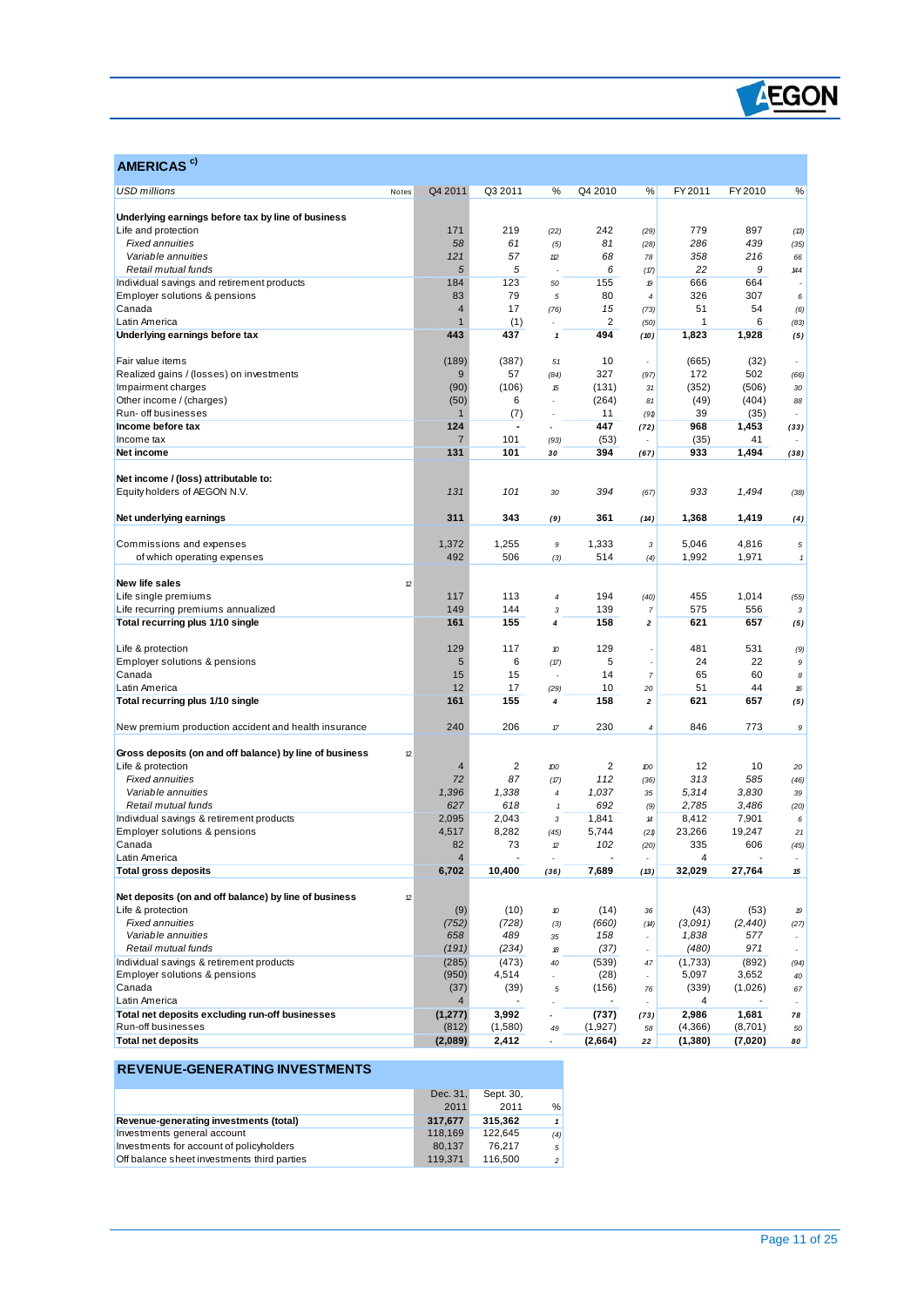

| AMERICAS <sup>c)</sup>                                                    |                |                          |                                   |                |                                                                                                                                                                                                                                                                                                                                                                                                                         |                  |                 |              |
|---------------------------------------------------------------------------|----------------|--------------------------|-----------------------------------|----------------|-------------------------------------------------------------------------------------------------------------------------------------------------------------------------------------------------------------------------------------------------------------------------------------------------------------------------------------------------------------------------------------------------------------------------|------------------|-----------------|--------------|
| <b>USD millions</b><br>Notes                                              | Q4 2011        | Q3 2011                  | %                                 | Q4 2010        | %                                                                                                                                                                                                                                                                                                                                                                                                                       | FY 2011          | FY 2010         | %            |
|                                                                           |                |                          |                                   |                |                                                                                                                                                                                                                                                                                                                                                                                                                         |                  |                 |              |
| Underlying earnings before tax by line of business<br>Life and protection | 171            | 219                      | (22)                              | 242            | (29)                                                                                                                                                                                                                                                                                                                                                                                                                    | 779              | 897             | (13)         |
| <b>Fixed annuities</b>                                                    | 58             | 61                       | (5)                               | 81             | (28)                                                                                                                                                                                                                                                                                                                                                                                                                    | 286              | 439             | (35)         |
| Variable annuities                                                        | 121            | 57                       | $12$                              | 68             | 78                                                                                                                                                                                                                                                                                                                                                                                                                      | 358              | 216             | 66           |
| Retail mutual funds                                                       | 5              | 5                        |                                   | 6              | (17)                                                                                                                                                                                                                                                                                                                                                                                                                    | 22               | 9               | 144          |
| Individual savings and retirement products                                | 184            | 123                      | 50                                | 155            | 19                                                                                                                                                                                                                                                                                                                                                                                                                      | 666              | 664             |              |
| Employer solutions & pensions                                             | 83             | 79                       | 5                                 | 80             | $\overline{4}$                                                                                                                                                                                                                                                                                                                                                                                                          | 326              | 307             | 6            |
| Canada                                                                    | $\overline{4}$ | 17                       | (76)                              | 15             | (73)                                                                                                                                                                                                                                                                                                                                                                                                                    | 51               | 54              | (6)          |
| Latin America                                                             | $\mathbf{1}$   | (1)                      |                                   | $\overline{2}$ | (50)                                                                                                                                                                                                                                                                                                                                                                                                                    | 1                | 6               | (83)         |
| Underlying earnings before tax                                            | 443            | 437                      | 1                                 | 494            | (10)                                                                                                                                                                                                                                                                                                                                                                                                                    | 1,823            | 1,928           | (5)          |
| Fair value items                                                          | (189)          | (387)                    | 51                                | 10             |                                                                                                                                                                                                                                                                                                                                                                                                                         | (665)            | (32)            |              |
| Realized gains / (losses) on investments                                  | 9              | 57                       | (84)                              | 327            | (97)                                                                                                                                                                                                                                                                                                                                                                                                                    | 172              | 502             | (66)         |
| Impairment charges                                                        | (90)           | (106)                    | 15                                | (131)          | 31                                                                                                                                                                                                                                                                                                                                                                                                                      | (352)            | (506)           | 30           |
| Other income / (charges)                                                  | (50)           | 6                        |                                   | (264)          | 81                                                                                                                                                                                                                                                                                                                                                                                                                      | (49)             | (404)           | 88           |
| Run- off businesses                                                       | $\mathbf{1}$   | (7)                      | $\mathbf{r}$                      | 11             | (91)                                                                                                                                                                                                                                                                                                                                                                                                                    | 39               | (35)            |              |
| Income before tax                                                         | 124            | $\overline{\phantom{a}}$ |                                   | 447            | (72)                                                                                                                                                                                                                                                                                                                                                                                                                    | 968              | 1,453           | (33)         |
| Income tax                                                                | $\overline{7}$ | 101                      | (93)                              | (53)           |                                                                                                                                                                                                                                                                                                                                                                                                                         | (35)             | 41              |              |
| Net income                                                                | 131            | 101                      | 30                                | 394            | (67)                                                                                                                                                                                                                                                                                                                                                                                                                    | 933              | 1,494           | (38)         |
| Net income / (loss) attributable to:                                      |                |                          |                                   |                |                                                                                                                                                                                                                                                                                                                                                                                                                         |                  |                 |              |
| Equity holders of AEGON N.V.                                              | 131            | 101                      | 30                                | 394            | (67)                                                                                                                                                                                                                                                                                                                                                                                                                    | 933              | 1,494           | (38)         |
|                                                                           |                |                          |                                   |                |                                                                                                                                                                                                                                                                                                                                                                                                                         |                  |                 |              |
| Net underlying earnings                                                   | 311            | 343                      | (9)                               | 361            | (14)                                                                                                                                                                                                                                                                                                                                                                                                                    | 1,368            | 1,419           | (4)          |
| Commissions and expenses                                                  | 1,372          | 1,255                    | 9                                 | 1,333          | 3                                                                                                                                                                                                                                                                                                                                                                                                                       | 5,046            | 4,816           | $\sqrt{5}$   |
| of which operating expenses                                               | 492            | 506                      | (3)                               | 514            | (4)                                                                                                                                                                                                                                                                                                                                                                                                                     | 1,992            | 1,971           | $\mathbf{1}$ |
| New life sales                                                            |                |                          |                                   |                |                                                                                                                                                                                                                                                                                                                                                                                                                         |                  |                 |              |
| 12                                                                        | 117            | 113                      |                                   | 194            |                                                                                                                                                                                                                                                                                                                                                                                                                         | 455              | 1,014           |              |
| Life single premiums<br>Life recurring premiums annualized                | 149            | 144                      | $\boldsymbol{4}$<br>3             | 139            | (40)                                                                                                                                                                                                                                                                                                                                                                                                                    | 575              | 556             | (55)         |
| Total recurring plus 1/10 single                                          | 161            | 155                      | 4                                 | 158            | 7<br>2                                                                                                                                                                                                                                                                                                                                                                                                                  | 621              | 657             | 3            |
|                                                                           |                |                          |                                   |                |                                                                                                                                                                                                                                                                                                                                                                                                                         |                  |                 | (5)          |
| Life & protection                                                         | 129            | 117                      | 10                                | 129            |                                                                                                                                                                                                                                                                                                                                                                                                                         | 481              | 531             | (9)          |
| Employer solutions & pensions                                             | 5              | 6                        | (17)                              | 5              | $\overline{\phantom{a}}$                                                                                                                                                                                                                                                                                                                                                                                                | 24               | 22              | 9            |
| Canada                                                                    | 15             | 15                       | ÷,                                | 14             | $\overline{7}$                                                                                                                                                                                                                                                                                                                                                                                                          | 65               | 60              | 8            |
| Latin America                                                             | 12             | 17                       | (29)                              | 10             | 20                                                                                                                                                                                                                                                                                                                                                                                                                      | 51               | 44              | 16           |
| Total recurring plus 1/10 single                                          | 161            | 155                      | 4                                 | 158            | $\mathbf{2}% =\mathbf{2}+\mathbf{2}+\mathbf{3}+\mathbf{5}+\mathbf{5}+\mathbf{5}+\mathbf{6}+\mathbf{6}+\mathbf{5}+\mathbf{5}+\mathbf{6}+\mathbf{6}+\mathbf{5}+\mathbf{6}+\mathbf{6}+\mathbf{5}+\mathbf{5}+\mathbf{6}+\mathbf{6}+\mathbf{6}+\mathbf{5}+\mathbf{6}+\mathbf{6}+\mathbf{6}+\mathbf{6}+\mathbf{6}+\mathbf{6}+\mathbf{6}+\mathbf{6}+\mathbf{6}+\mathbf{6}+\mathbf{6}+\mathbf{6}+\mathbf{6}+\mathbf{6}+\mathbf$ | 621              | 657             | (5)          |
| New premium production accident and health insurance                      | 240            | 206                      | $\ensuremath{\mathcal{T}}\xspace$ | 230            | $\pmb{4}$                                                                                                                                                                                                                                                                                                                                                                                                               | 846              | 773             | 9            |
| Gross deposits (on and off balance) by line of business<br>12             |                |                          |                                   |                |                                                                                                                                                                                                                                                                                                                                                                                                                         |                  |                 |              |
| Life & protection                                                         | 4              | $\overline{2}$           | 100                               | 2              | 100                                                                                                                                                                                                                                                                                                                                                                                                                     | 12               | 10              | 20           |
| <b>Fixed annuities</b>                                                    | 72             | 87                       | (17)                              | 112            | (36)                                                                                                                                                                                                                                                                                                                                                                                                                    | 313              | 585             | (46)         |
| Variable annuities                                                        | 1,396          | 1,338                    | $\boldsymbol{4}$                  | 1,037          | 35                                                                                                                                                                                                                                                                                                                                                                                                                      | 5,314            | 3.830           | 39           |
| Retail mutual funds                                                       | 627            | 618                      | $\pmb{\mathcal{I}}$               | 692            | (9)                                                                                                                                                                                                                                                                                                                                                                                                                     | 2,785            | 3,486           | (20)         |
| Individual savings & retirement products                                  | 2,095          | 2,043                    | 3                                 | 1,841          | 14                                                                                                                                                                                                                                                                                                                                                                                                                      | 8,412            | 7,901           | 6            |
| Employer solutions & pensions                                             | 4,517          | 8,282                    | (45)                              | 5,744          | (21)                                                                                                                                                                                                                                                                                                                                                                                                                    | 23,266           | 19,247          | 21           |
| Canada                                                                    | 82             | 73                       | 12                                | 102            | (20)                                                                                                                                                                                                                                                                                                                                                                                                                    | 335              | 606             | (45)         |
| Latin America                                                             | 4              |                          |                                   |                |                                                                                                                                                                                                                                                                                                                                                                                                                         | 4                |                 |              |
| <b>Total gross deposits</b>                                               | 6,702          | 10,400                   | (36)                              | 7,689          | (13)                                                                                                                                                                                                                                                                                                                                                                                                                    | 32,029           | 27,764          | $15\,$       |
|                                                                           |                |                          |                                   |                |                                                                                                                                                                                                                                                                                                                                                                                                                         |                  |                 |              |
| Net deposits (on and off balance) by line of business<br>$\mathbf{r}$     |                |                          |                                   |                |                                                                                                                                                                                                                                                                                                                                                                                                                         |                  |                 |              |
| Life & protection                                                         | (9)            | (10)                     | 10                                | (14)           | 36                                                                                                                                                                                                                                                                                                                                                                                                                      | (43)             | (53)            | 19           |
| <b>Fixed annuities</b><br>Variable annuities                              | (752)<br>658   | (728)<br>489             | (3)                               | (660)<br>158   | (14)                                                                                                                                                                                                                                                                                                                                                                                                                    | (3,091)<br>1,838 | (2, 440)<br>577 | (27)         |
| Retail mutual funds                                                       | (191)          | (234)                    | 35<br>18                          | (37)           |                                                                                                                                                                                                                                                                                                                                                                                                                         | (480)            | 971             |              |
| Individual savings & retirement products                                  | (285)          | (473)                    | 40                                | (539)          | 47                                                                                                                                                                                                                                                                                                                                                                                                                      | (1,733)          | (892)           | (94)         |
| Employer solutions & pensions                                             | (950)          | 4,514                    |                                   | (28)           |                                                                                                                                                                                                                                                                                                                                                                                                                         | 5,097            | 3,652           | 40           |
| Canada                                                                    | (37)           | (39)                     | 5                                 | (156)          | 76                                                                                                                                                                                                                                                                                                                                                                                                                      | (339)            | (1,026)         | 67           |
| Latin America                                                             | $\overline{4}$ |                          |                                   |                |                                                                                                                                                                                                                                                                                                                                                                                                                         | 4                |                 |              |
| Total net deposits excluding run-off businesses                           | (1, 277)       | 3,992                    |                                   | (737)          | (73)                                                                                                                                                                                                                                                                                                                                                                                                                    | 2,986            | 1,681           | 78           |
| Run-off businesses                                                        | (812)          | (1,580)                  | 49                                | (1,927)        | 58                                                                                                                                                                                                                                                                                                                                                                                                                      | (4,366)          | (8,701)         | 50           |
| <b>Total net deposits</b>                                                 | (2,089)        | 2,412                    | $\overline{\phantom{a}}$          | (2,664)        | 22                                                                                                                                                                                                                                                                                                                                                                                                                      | (1,380)          | (7,020)         | 80           |

### **REVENUE-GENERATING INVESTMENTS**

 $\overline{a}$ 

|                                             | Dec. 31. | Sept. 30. |                |
|---------------------------------------------|----------|-----------|----------------|
|                                             | 2011     | 2011      | %              |
| Revenue-generating investments (total)      | 317.677  | 315.362   | 1 <sup>1</sup> |
| Investments general account                 | 118.169  | 122.645   | (4)            |
| Investments for account of policyholders    | 80.137   | 76.217    | 5 <sup>1</sup> |
| Off balance sheet investments third parties | 119.371  | 116,500   | $\overline{2}$ |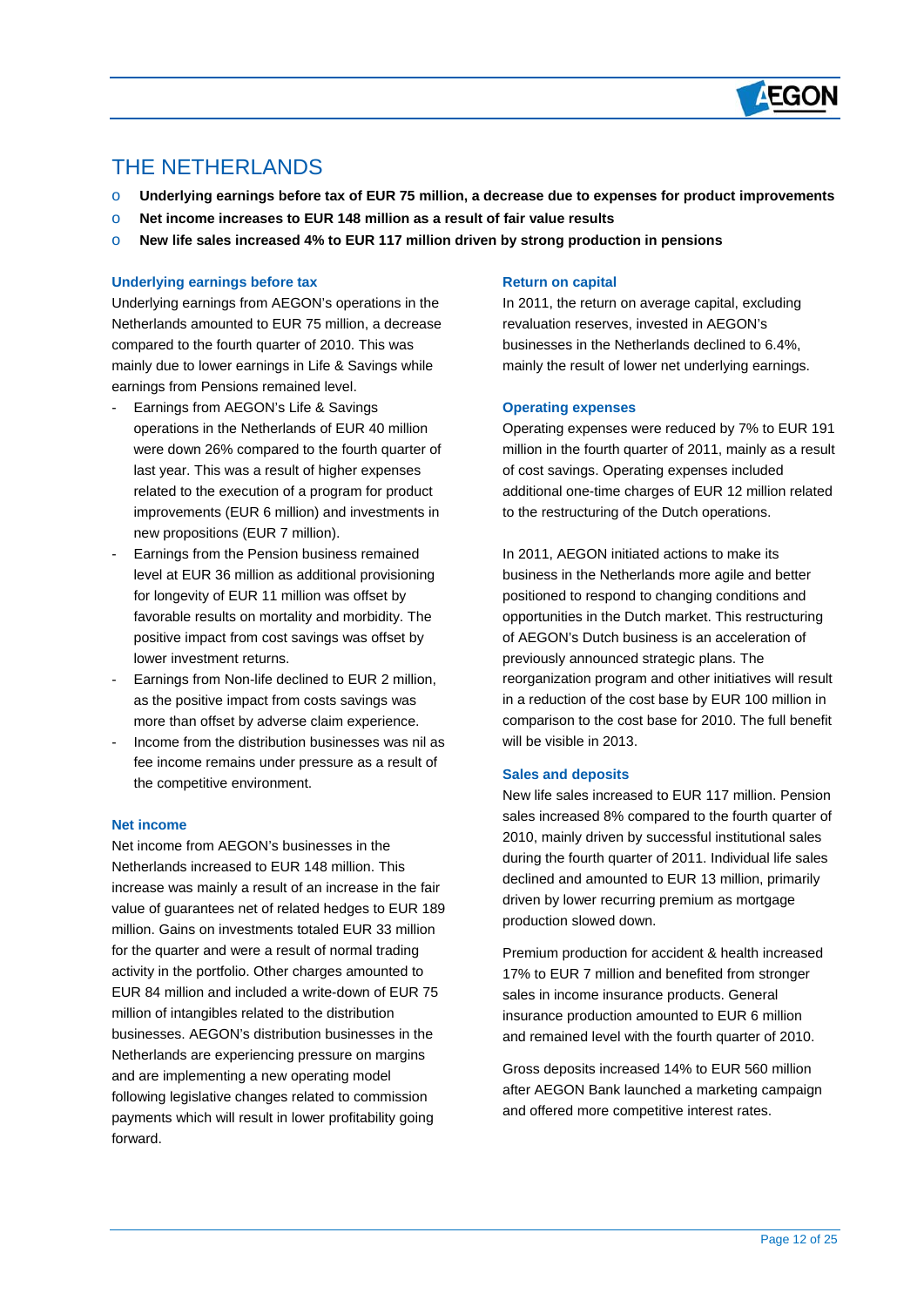

## THE NETHERLANDS

 $\overline{a}$ 

- o **Underlying earnings before tax of EUR 75 million, a decrease due to expenses for product improvements**
- o **Net income increases to EUR 148 million as a result of fair value results**
- o **New life sales increased 4% to EUR 117 million driven by strong production in pensions**

#### **Underlying earnings before tax**

Underlying earnings from AEGON's operations in the Netherlands amounted to EUR 75 million, a decrease compared to the fourth quarter of 2010. This was mainly due to lower earnings in Life & Savings while earnings from Pensions remained level.

- Earnings from AEGON's Life & Savings operations in the Netherlands of EUR 40 million were down 26% compared to the fourth quarter of last year. This was a result of higher expenses related to the execution of a program for product improvements (EUR 6 million) and investments in new propositions (EUR 7 million).
- Earnings from the Pension business remained level at EUR 36 million as additional provisioning for longevity of EUR 11 million was offset by favorable results on mortality and morbidity. The positive impact from cost savings was offset by lower investment returns.
- Earnings from Non-life declined to EUR 2 million, as the positive impact from costs savings was more than offset by adverse claim experience.
- Income from the distribution businesses was nil as fee income remains under pressure as a result of the competitive environment.

#### **Net income**

Net income from AEGON's businesses in the Netherlands increased to EUR 148 million. This increase was mainly a result of an increase in the fair value of guarantees net of related hedges to EUR 189 million. Gains on investments totaled EUR 33 million for the quarter and were a result of normal trading activity in the portfolio. Other charges amounted to EUR 84 million and included a write-down of EUR 75 million of intangibles related to the distribution businesses. AEGON's distribution businesses in the Netherlands are experiencing pressure on margins and are implementing a new operating model following legislative changes related to commission payments which will result in lower profitability going forward.

#### **Return on capital**

In 2011, the return on average capital, excluding revaluation reserves, invested in AEGON's businesses in the Netherlands declined to 6.4%, mainly the result of lower net underlying earnings.

#### **Operating expenses**

Operating expenses were reduced by 7% to EUR 191 million in the fourth quarter of 2011, mainly as a result of cost savings. Operating expenses included additional one-time charges of EUR 12 million related to the restructuring of the Dutch operations.

In 2011, AEGON initiated actions to make its business in the Netherlands more agile and better positioned to respond to changing conditions and opportunities in the Dutch market. This restructuring of AEGON's Dutch business is an acceleration of previously announced strategic plans. The reorganization program and other initiatives will result in a reduction of the cost base by EUR 100 million in comparison to the cost base for 2010. The full benefit will be visible in 2013.

#### **Sales and deposits**

New life sales increased to EUR 117 million. Pension sales increased 8% compared to the fourth quarter of 2010, mainly driven by successful institutional sales during the fourth quarter of 2011. Individual life sales declined and amounted to EUR 13 million, primarily driven by lower recurring premium as mortgage production slowed down.

Premium production for accident & health increased 17% to EUR 7 million and benefited from stronger sales in income insurance products. General insurance production amounted to EUR 6 million and remained level with the fourth quarter of 2010.

Gross deposits increased 14% to EUR 560 million after AEGON Bank launched a marketing campaign and offered more competitive interest rates.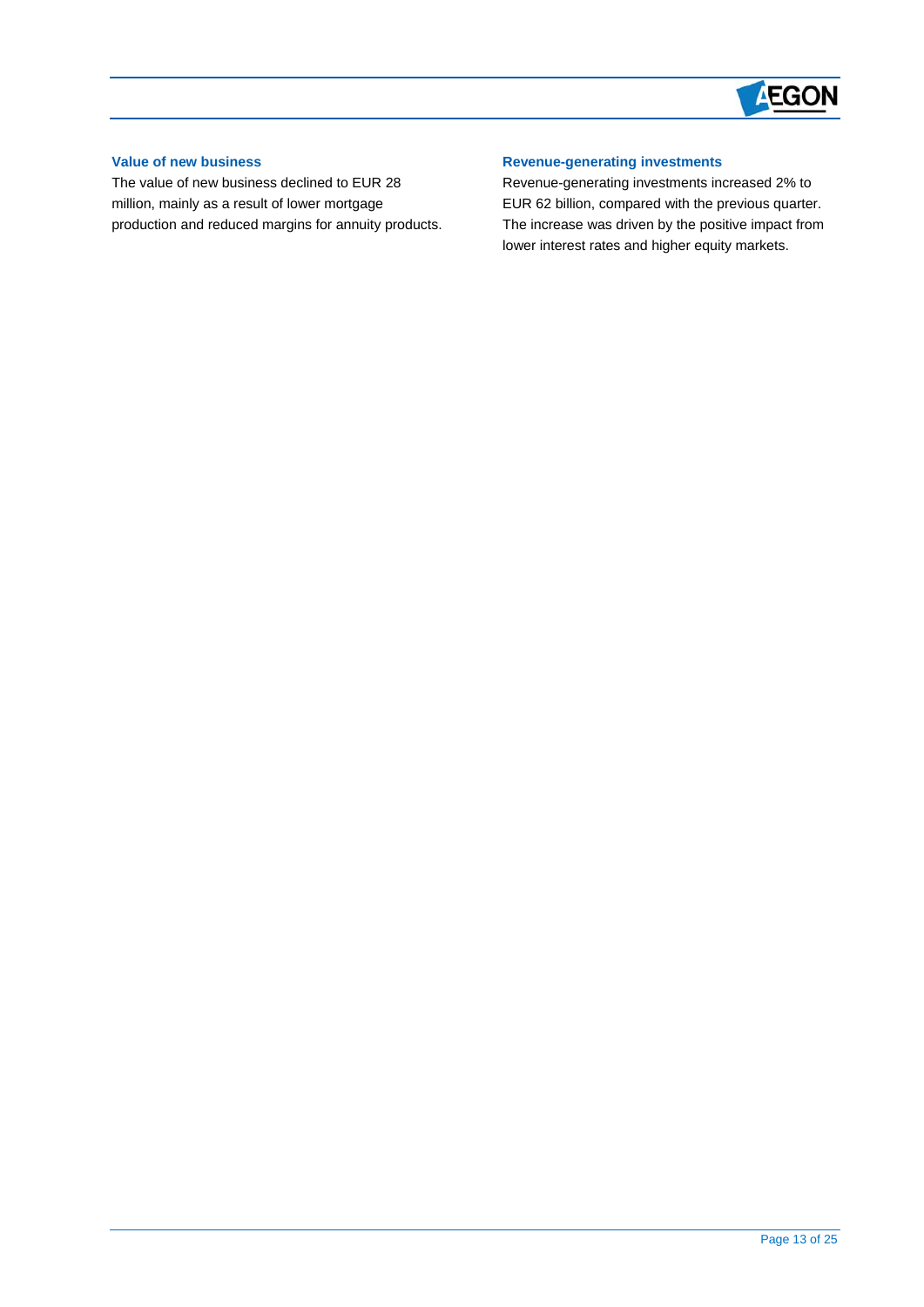

### **Value of new business**

 $\overline{a}$ 

The value of new business declined to EUR 28 million, mainly as a result of lower mortgage production and reduced margins for annuity products.

### **Revenue-generating investments**

Revenue-generating investments increased 2% to EUR 62 billion, compared with the previous quarter. The increase was driven by the positive impact from lower interest rates and higher equity markets.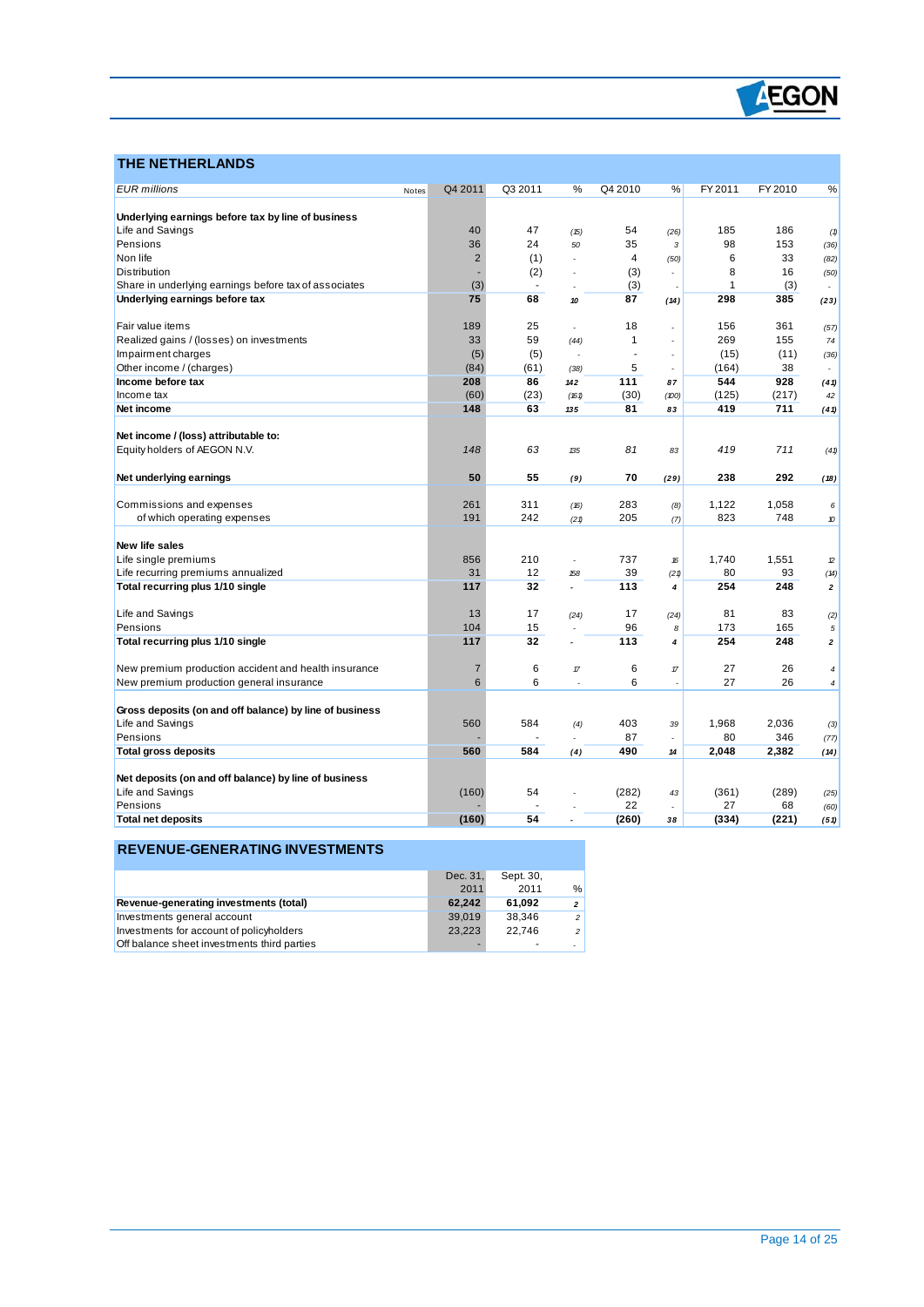

### **THE NETHERLANDS**

 $\overline{a}$ 

| <b>EUR</b> millions                                     | Notes | Q4 2011        | Q3 2011 | %              | Q4 2010 | %                        | FY 2011      | FY 2010 | %                        |
|---------------------------------------------------------|-------|----------------|---------|----------------|---------|--------------------------|--------------|---------|--------------------------|
|                                                         |       |                |         |                |         |                          |              |         |                          |
| Underlying earnings before tax by line of business      |       |                |         |                |         |                          |              |         |                          |
| Life and Savings                                        |       | 40             | 47      | (15)           | 54      | (26)                     | 185          | 186     | (1)                      |
| Pensions                                                |       | 36             | 24      | 50             | 35      | 3                        | 98           | 153     | (36)                     |
| Non life                                                |       | $\overline{2}$ | (1)     |                | 4       | (50)                     | 6            | 33      | (82)                     |
| <b>Distribution</b>                                     |       |                | (2)     | $\overline{a}$ | (3)     |                          | 8            | 16      | (50)                     |
| Share in underlying earnings before tax of associates   |       | (3)            | ÷,      |                | (3)     |                          | $\mathbf{1}$ | (3)     |                          |
| Underlying earnings before tax                          |       | 75             | 68      | 10             | 87      | (14)                     | 298          | 385     | (23)                     |
| Fair value items                                        |       | 189            | 25      | $\overline{a}$ | 18      |                          | 156          | 361     | (57)                     |
| Realized gains / (losses) on investments                |       | 33             | 59      | (44)           | 1       | $\overline{\phantom{a}}$ | 269          | 155     | 74                       |
| Impairment charges                                      |       | (5)            | (5)     |                | ä,      |                          | (15)         | (11)    | (36)                     |
| Other income / (charges)                                |       | (84)           | (61)    | (38)           | 5       |                          | (164)        | 38      | $\overline{\phantom{a}}$ |
| Income before tax                                       |       | 208            | 86      | 142            | 111     | 87                       | 544          | 928     | (41)                     |
| Income tax                                              |       | (60)           | (23)    | (161)          | (30)    | (100)                    | (125)        | (217)   | 42                       |
| Net income                                              |       | 148            | 63      | 135            | 81      | 83                       | 419          | 711     | (41)                     |
|                                                         |       |                |         |                |         |                          |              |         |                          |
| Net income / (loss) attributable to:                    |       |                |         |                |         |                          |              |         |                          |
| Equity holders of AEGON N.V.                            |       | 148            | 63      | 135            | 81      | 83                       | 419          | 711     | (41)                     |
| Net underlying earnings                                 |       | 50             | 55      | (9)            | 70      | (29)                     | 238          | 292     | (18)                     |
|                                                         |       |                |         |                |         |                          |              |         |                          |
| Commissions and expenses                                |       | 261            | 311     | (16)           | 283     | (8)                      | 1,122        | 1,058   | 6                        |
| of which operating expenses                             |       | 191            | 242     | (21)           | 205     | (7)                      | 823          | 748     | 10                       |
| New life sales                                          |       |                |         |                |         |                          |              |         |                          |
| Life single premiums                                    |       | 856            | 210     | $\overline{a}$ | 737     | 16                       | 1.740        | 1.551   | $\mathcal D$             |
| Life recurring premiums annualized                      |       | 31             | 12      | 158            | 39      | (21)                     | 80           | 93      | (14)                     |
| Total recurring plus 1/10 single                        |       | 117            | 32      | ä,             | 113     | 4                        | 254          | 248     | $\mathbf{z}$             |
|                                                         |       |                |         |                |         |                          |              |         |                          |
| Life and Savings                                        |       | 13             | 17      | (24)           | 17      | (24)                     | 81           | 83      | (2)                      |
| Pensions                                                |       | 104            | 15      | $\overline{a}$ | 96      | 8                        | 173          | 165     | 5                        |
| Total recurring plus 1/10 single                        |       | 117            | 32      |                | 113     | $\overline{4}$           | 254          | 248     | $\mathbf{z}$             |
| New premium production accident and health insurance    |       | $\overline{7}$ | 6       | $\pi$          | 6       | $\pi$                    | 27           | 26      | 4                        |
| New premium production general insurance                |       | 6              | 6       | Ĭ.             | 6       | ٠                        | 27           | 26      | 4                        |
|                                                         |       |                |         |                |         |                          |              |         |                          |
| Gross deposits (on and off balance) by line of business |       |                |         |                |         |                          |              |         |                          |
| Life and Savings                                        |       | 560            | 584     | (4)            | 403     | 39                       | 1,968        | 2,036   | (3)                      |
| Pensions                                                |       |                |         |                | 87      | L,                       | 80           | 346     | (77)                     |
| <b>Total gross deposits</b>                             |       | 560            | 584     | (4)            | 490     | 14                       | 2,048        | 2,382   | (14)                     |
|                                                         |       |                |         |                |         |                          |              |         |                          |
| Net deposits (on and off balance) by line of business   |       |                |         |                |         |                          |              |         |                          |
| Life and Savings                                        |       | (160)          | 54      |                | (282)   | 43                       | (361)        | (289)   | (25)                     |
| Pensions                                                |       |                |         |                | 22      |                          | 27           | 68      | (60)                     |
| <b>Total net deposits</b>                               |       | (160)          | 54      |                | (260)   | 38                       | (334)        | (221)   | (51)                     |

### **REVENUE-GENERATING INVESTMENTS**

|                                             | Dec. 31. | Sept. 30. |                          |
|---------------------------------------------|----------|-----------|--------------------------|
|                                             | 2011     | 2011      | $\frac{0}{c}$            |
| Revenue-generating investments (total)      | 62.242   | 61.092    | $\overline{2}$           |
| Investments general account                 | 39.019   | 38.346    | $\overline{\phantom{a}}$ |
| Investments for account of policyholders    | 23.223   | 22.746    | $\overline{2}$           |
| Off balance sheet investments third parties |          |           |                          |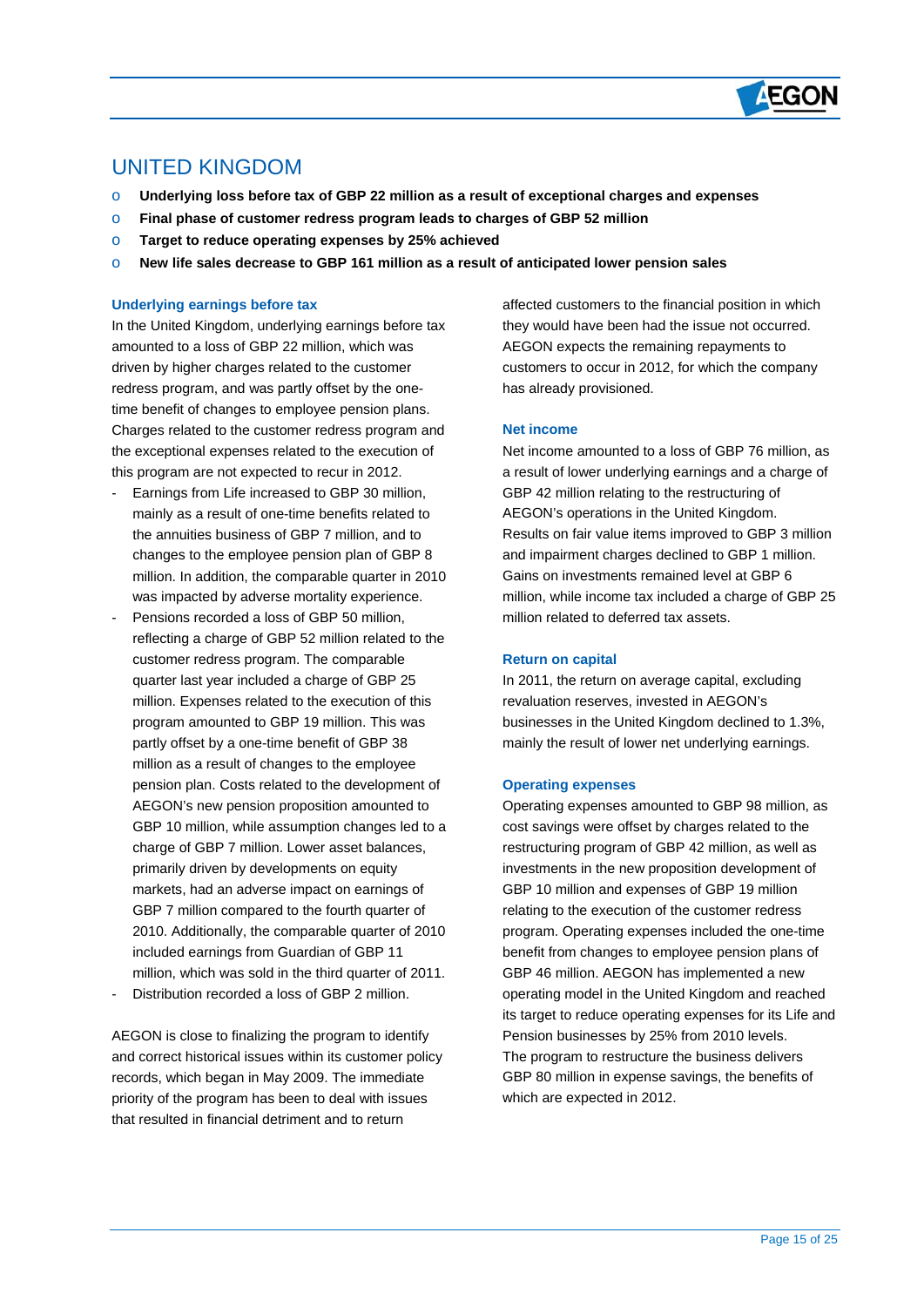

### UNITED KINGDOM

 $\overline{a}$ 

- o **Underlying loss before tax of GBP 22 million as a result of exceptional charges and expenses**
- o **Final phase of customer redress program leads to charges of GBP 52 million**
- o **Target to reduce operating expenses by 25% achieved**
- o **New life sales decrease to GBP 161 million as a result of anticipated lower pension sales**

#### **Underlying earnings before tax**

In the United Kingdom, underlying earnings before tax amounted to a loss of GBP 22 million, which was driven by higher charges related to the customer redress program, and was partly offset by the onetime benefit of changes to employee pension plans. Charges related to the customer redress program and the exceptional expenses related to the execution of this program are not expected to recur in 2012.

- Earnings from Life increased to GBP 30 million, mainly as a result of one-time benefits related to the annuities business of GBP 7 million, and to changes to the employee pension plan of GBP 8 million. In addition, the comparable quarter in 2010 was impacted by adverse mortality experience.
- Pensions recorded a loss of GBP 50 million, reflecting a charge of GBP 52 million related to the customer redress program. The comparable quarter last year included a charge of GBP 25 million. Expenses related to the execution of this program amounted to GBP 19 million. This was partly offset by a one-time benefit of GBP 38 million as a result of changes to the employee pension plan. Costs related to the development of AEGON's new pension proposition amounted to GBP 10 million, while assumption changes led to a charge of GBP 7 million. Lower asset balances, primarily driven by developments on equity markets, had an adverse impact on earnings of GBP 7 million compared to the fourth quarter of 2010. Additionally, the comparable quarter of 2010 included earnings from Guardian of GBP 11 million, which was sold in the third quarter of 2011.
- Distribution recorded a loss of GBP 2 million.

AEGON is close to finalizing the program to identify and correct historical issues within its customer policy records, which began in May 2009. The immediate priority of the program has been to deal with issues that resulted in financial detriment and to return

affected customers to the financial position in which they would have been had the issue not occurred. AEGON expects the remaining repayments to customers to occur in 2012, for which the company has already provisioned.

#### **Net income**

Net income amounted to a loss of GBP 76 million, as a result of lower underlying earnings and a charge of GBP 42 million relating to the restructuring of AEGON's operations in the United Kingdom. Results on fair value items improved to GBP 3 million and impairment charges declined to GBP 1 million. Gains on investments remained level at GBP 6 million, while income tax included a charge of GBP 25 million related to deferred tax assets.

#### **Return on capital**

In 2011, the return on average capital, excluding revaluation reserves, invested in AEGON's businesses in the United Kingdom declined to 1.3%, mainly the result of lower net underlying earnings.

#### **Operating expenses**

Operating expenses amounted to GBP 98 million, as cost savings were offset by charges related to the restructuring program of GBP 42 million, as well as investments in the new proposition development of GBP 10 million and expenses of GBP 19 million relating to the execution of the customer redress program. Operating expenses included the one-time benefit from changes to employee pension plans of GBP 46 million. AEGON has implemented a new operating model in the United Kingdom and reached its target to reduce operating expenses for its Life and Pension businesses by 25% from 2010 levels. The program to restructure the business delivers GBP 80 million in expense savings, the benefits of which are expected in 2012.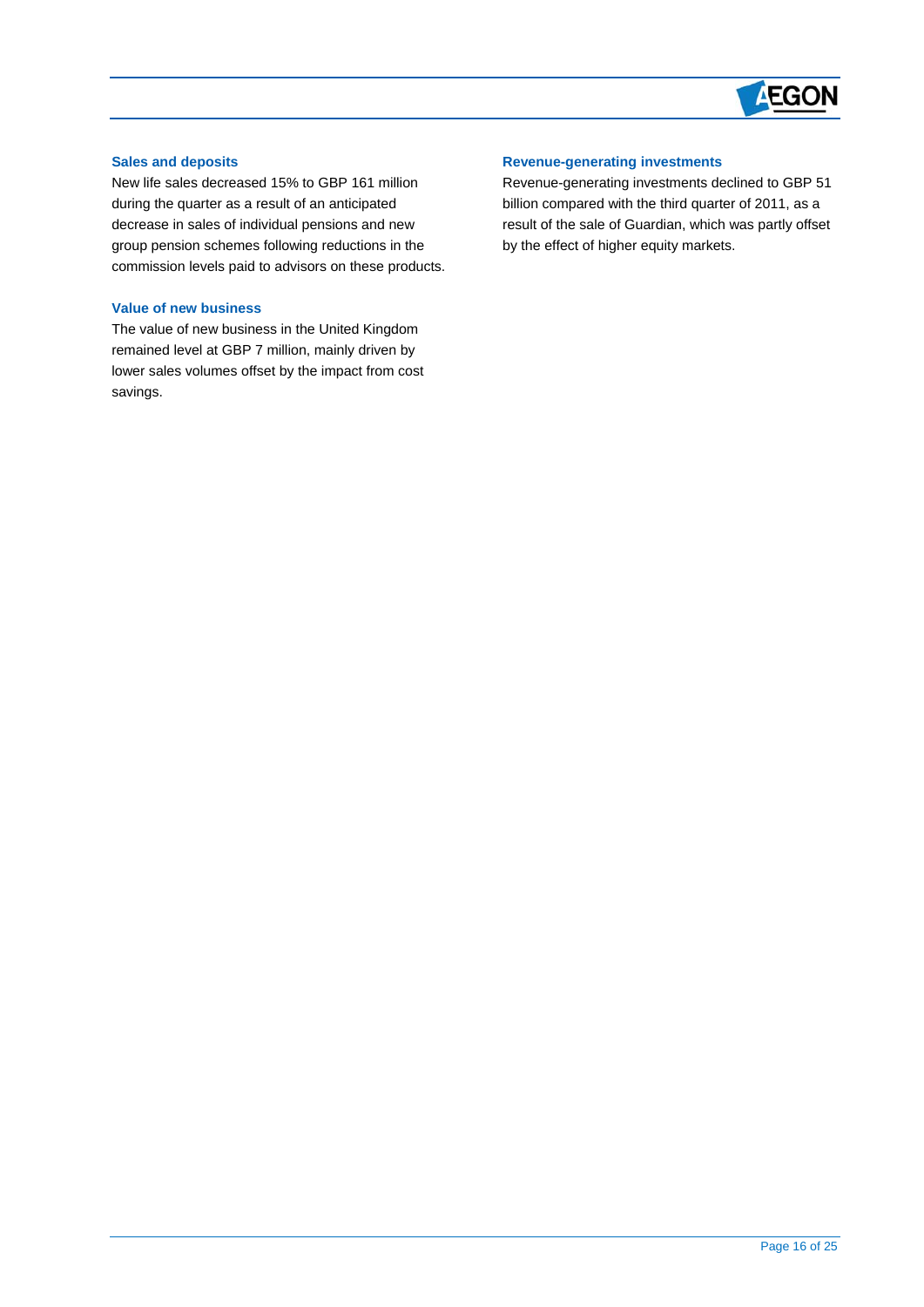

#### **Sales and deposits**

 $\overline{a}$ 

New life sales decreased 15% to GBP 161 million during the quarter as a result of an anticipated decrease in sales of individual pensions and new group pension schemes following reductions in the commission levels paid to advisors on these products.

#### **Value of new business**

The value of new business in the United Kingdom remained level at GBP 7 million, mainly driven by lower sales volumes offset by the impact from cost savings.

#### **Revenue-generating investments**

Revenue-generating investments declined to GBP 51 billion compared with the third quarter of 2011, as a result of the sale of Guardian, which was partly offset by the effect of higher equity markets.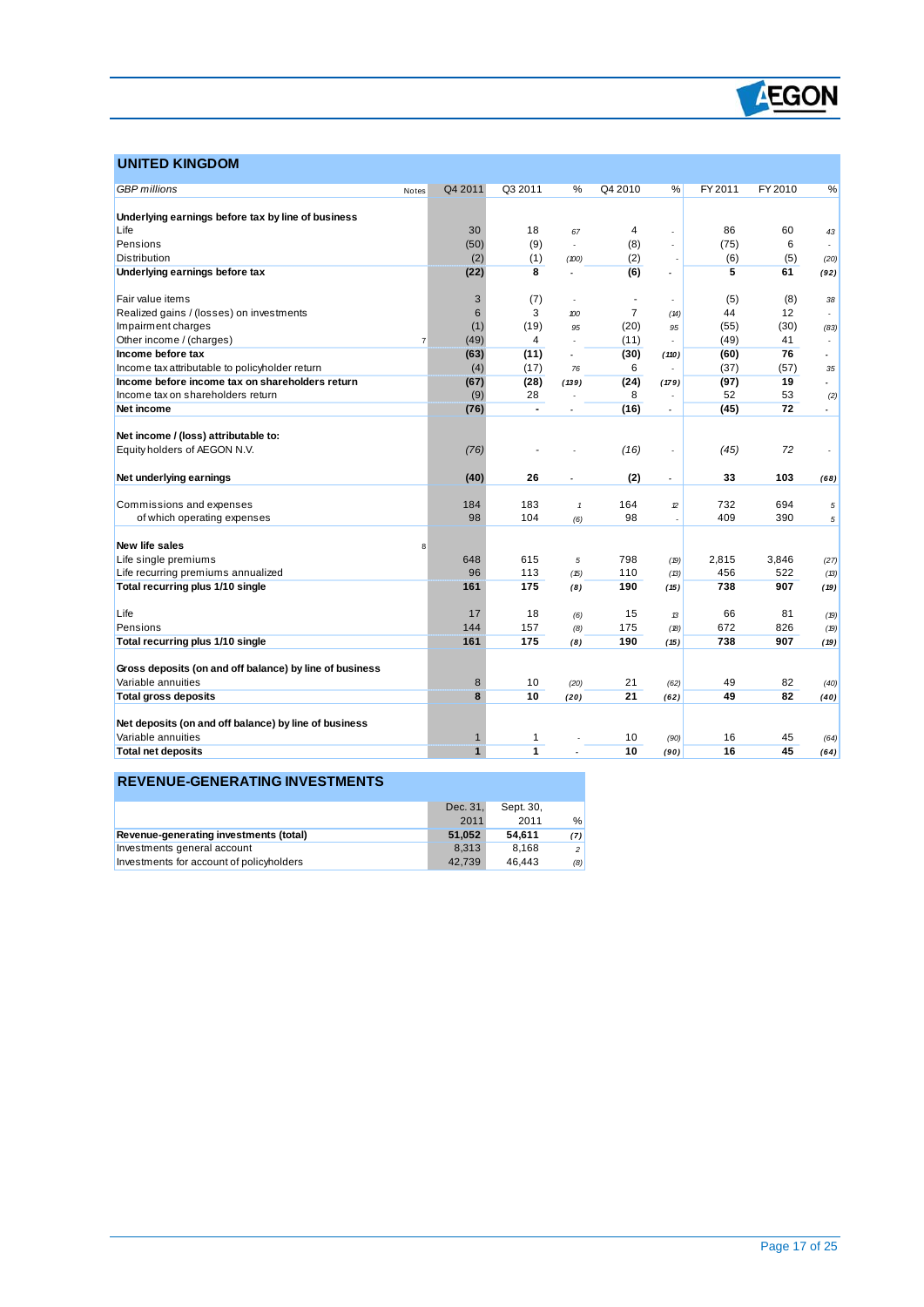

### **UNITED KINGDOM**

 $\overline{a}$ 

| <b>GBP</b> millions                                     | Notes          | Q4 2011                     | Q3 2011                 | %                        | Q4 2010        | %                        | FY 2011  | FY 2010  | %                        |
|---------------------------------------------------------|----------------|-----------------------------|-------------------------|--------------------------|----------------|--------------------------|----------|----------|--------------------------|
|                                                         |                |                             |                         |                          |                |                          |          |          |                          |
| Underlying earnings before tax by line of business      |                |                             |                         |                          |                |                          |          |          |                          |
| Life                                                    |                | 30                          | 18                      | 67                       | 4              |                          | 86       | 60       | 43                       |
| Pensions                                                |                | (50)                        | (9)                     | L,                       | (8)            | $\overline{a}$           | (75)     | 6        |                          |
| <b>Distribution</b>                                     |                | (2)                         | (1)                     | (100)                    | (2)            |                          | (6)      | (5)      | (20)                     |
| Underlying earnings before tax                          |                | (22)                        | 8                       | ÷,                       | (6)            | $\overline{a}$           | 5        | 61       | (92)                     |
|                                                         |                |                             |                         |                          |                |                          |          |          |                          |
| Fair value items                                        |                | 3                           | (7)                     | $\overline{a}$           |                |                          | (5)      | (8)      | 38                       |
| Realized gains / (losses) on investments                |                | 6                           | 3                       | 100                      | $\overline{7}$ | (14)                     | 44       | 12       |                          |
| Impairment charges                                      |                | (1)                         | (19)                    | 95                       | (20)           | 95                       | (55)     | (30)     | (83)                     |
| Other income / (charges)                                | $\overline{7}$ | (49)                        | $\overline{\mathbf{4}}$ |                          | (11)           | $\overline{a}$           | (49)     | 41       | $\overline{\phantom{a}}$ |
| Income before tax                                       |                | (63)                        | (11)                    | $\overline{\phantom{a}}$ | (30)           | (110)                    | (60)     | 76       | $\overline{\phantom{a}}$ |
| Income tax attributable to policyholder return          |                | (4)                         | (17)                    | 76                       | 6              |                          | (37)     | (57)     | 35                       |
| Income before income tax on shareholders return         |                | (67)                        | (28)                    | (139)                    | (24)           | (179)                    | (97)     | 19       | $\overline{\phantom{a}}$ |
| Income tax on shareholders return                       |                | (9)                         | 28                      |                          | 8              |                          | 52       | 53       | (2)                      |
| Net income                                              |                | (76)                        | ٠                       |                          | (16)           | $\overline{a}$           | (45)     | 72       | $\blacksquare$           |
|                                                         |                |                             |                         |                          |                |                          |          |          |                          |
| Net income / (loss) attributable to:                    |                |                             |                         |                          |                |                          |          |          |                          |
| Equity holders of AEGON N.V.                            |                | (76)                        |                         |                          | (16)           | $\overline{a}$           | (45)     | 72       |                          |
|                                                         |                |                             |                         |                          |                |                          |          |          |                          |
| Net underlying earnings                                 |                | (40)                        | 26                      |                          | (2)            | $\overline{\phantom{a}}$ | 33       | 103      | (68)                     |
|                                                         |                |                             |                         |                          |                |                          |          |          |                          |
|                                                         |                |                             |                         |                          |                |                          |          |          |                          |
| Commissions and expenses                                |                | 184                         | 183                     | $\mathbf{1}$             | 164            | $\mathcal{D}$            | 732      | 694      | 5                        |
| of which operating expenses                             |                | 98                          | 104                     | (6)                      | 98             |                          | 409      | 390      | 5                        |
|                                                         |                |                             |                         |                          |                |                          |          |          |                          |
| New life sales                                          | 8              |                             |                         |                          |                |                          |          |          |                          |
| Life single premiums                                    |                | 648                         | 615                     | 5                        | 798            | (19)                     | 2,815    | 3,846    | (27)                     |
| Life recurring premiums annualized                      |                | 96                          | 113                     | (15)                     | 110            | (13)                     | 456      | 522      | (13)                     |
| Total recurring plus 1/10 single                        |                | 161                         | 175                     | (8)                      | 190            | (15)                     | 738      | 907      | (19)                     |
|                                                         |                |                             |                         |                          |                |                          |          |          |                          |
| Life                                                    |                | 17                          | 18                      | (6)                      | 15             | $\mathcal{B}$            | 66       | 81       | (19)                     |
| Pensions                                                |                | 144                         | 157                     | (8)                      | 175            | (B)                      | 672      | 826      | (19)                     |
| Total recurring plus 1/10 single                        |                | 161                         | 175                     | (8)                      | 190            | (15)                     | 738      | 907      | (19)                     |
|                                                         |                |                             |                         |                          |                |                          |          |          |                          |
| Gross deposits (on and off balance) by line of business |                |                             |                         |                          |                |                          |          |          |                          |
| Variable annuities                                      |                | 8                           | 10                      | (20)                     | 21             | (62)                     | 49       | 82       | (40)                     |
| <b>Total gross deposits</b>                             |                | 8                           | 10                      | (20)                     | 21             | (62)                     | 49       | 82       | (40)                     |
|                                                         |                |                             |                         |                          |                |                          |          |          |                          |
| Net deposits (on and off balance) by line of business   |                |                             |                         |                          |                |                          |          |          |                          |
| Variable annuities<br><b>Total net deposits</b>         |                | $\mathbf 1$<br>$\mathbf{1}$ | 1<br>1                  |                          | 10<br>10       | (90)<br>(90)             | 16<br>16 | 45<br>45 | (64)<br>(64)             |

### **REVENUE-GENERATING INVESTMENTS**

|                                          | Dec. 31, | Sept. 30. |                          |
|------------------------------------------|----------|-----------|--------------------------|
|                                          | 2011     | 2011      | $\frac{0}{0}$            |
| Revenue-generating investments (total)   | 51.052   | 54.611    | (7)                      |
| Investments general account              | 8.313    | 8.168     | $\overline{\phantom{0}}$ |
| Investments for account of policyholders | 42.739   | 46.443    | (8)                      |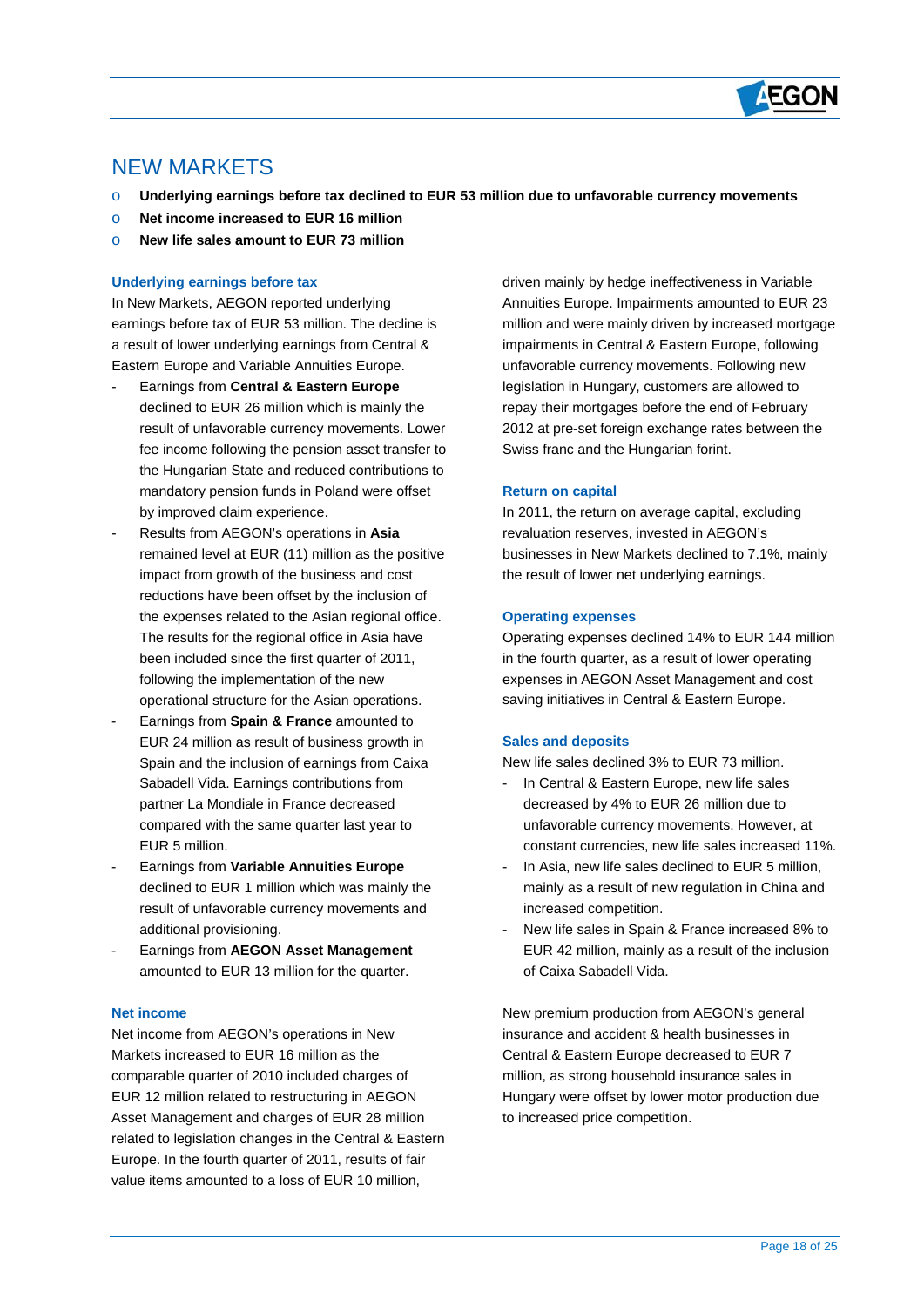

## NEW MARKETS

 $\overline{a}$ 

- o **Underlying earnings before tax declined to EUR 53 million due to unfavorable currency movements**
- o **Net income increased to EUR 16 million**
- o **New life sales amount to EUR 73 million**

#### **Underlying earnings before tax**

In New Markets, AEGON reported underlying earnings before tax of EUR 53 million. The decline is a result of lower underlying earnings from Central & Eastern Europe and Variable Annuities Europe.

- Earnings from **Central & Eastern Europe** declined to EUR 26 million which is mainly the result of unfavorable currency movements. Lower fee income following the pension asset transfer to the Hungarian State and reduced contributions to mandatory pension funds in Poland were offset by improved claim experience.
- Results from AEGON's operations in **Asia** remained level at EUR (11) million as the positive impact from growth of the business and cost reductions have been offset by the inclusion of the expenses related to the Asian regional office. The results for the regional office in Asia have been included since the first quarter of 2011, following the implementation of the new operational structure for the Asian operations.
- Earnings from **Spain & France** amounted to EUR 24 million as result of business growth in Spain and the inclusion of earnings from Caixa Sabadell Vida. Earnings contributions from partner La Mondiale in France decreased compared with the same quarter last year to EUR 5 million.
- Earnings from **Variable Annuities Europe** declined to EUR 1 million which was mainly the result of unfavorable currency movements and additional provisioning.
- Earnings from **AEGON Asset Management** amounted to EUR 13 million for the quarter.

### **Net income**

Net income from AEGON's operations in New Markets increased to EUR 16 million as the comparable quarter of 2010 included charges of EUR 12 million related to restructuring in AEGON Asset Management and charges of EUR 28 million related to legislation changes in the Central & Eastern Europe. In the fourth quarter of 2011, results of fair value items amounted to a loss of EUR 10 million,

driven mainly by hedge ineffectiveness in Variable Annuities Europe. Impairments amounted to EUR 23 million and were mainly driven by increased mortgage impairments in Central & Eastern Europe, following unfavorable currency movements. Following new legislation in Hungary, customers are allowed to repay their mortgages before the end of February 2012 at pre-set foreign exchange rates between the Swiss franc and the Hungarian forint.

#### **Return on capital**

In 2011, the return on average capital, excluding revaluation reserves, invested in AEGON's businesses in New Markets declined to 7.1%, mainly the result of lower net underlying earnings.

#### **Operating expenses**

Operating expenses declined 14% to EUR 144 million in the fourth quarter, as a result of lower operating expenses in AEGON Asset Management and cost saving initiatives in Central & Eastern Europe.

#### **Sales and deposits**

New life sales declined 3% to EUR 73 million.

- In Central & Eastern Europe, new life sales decreased by 4% to EUR 26 million due to unfavorable currency movements. However, at constant currencies, new life sales increased 11%.
- In Asia, new life sales declined to EUR 5 million, mainly as a result of new regulation in China and increased competition.
- New life sales in Spain & France increased 8% to EUR 42 million, mainly as a result of the inclusion of Caixa Sabadell Vida.

New premium production from AEGON's general insurance and accident & health businesses in Central & Eastern Europe decreased to EUR 7 million, as strong household insurance sales in Hungary were offset by lower motor production due to increased price competition.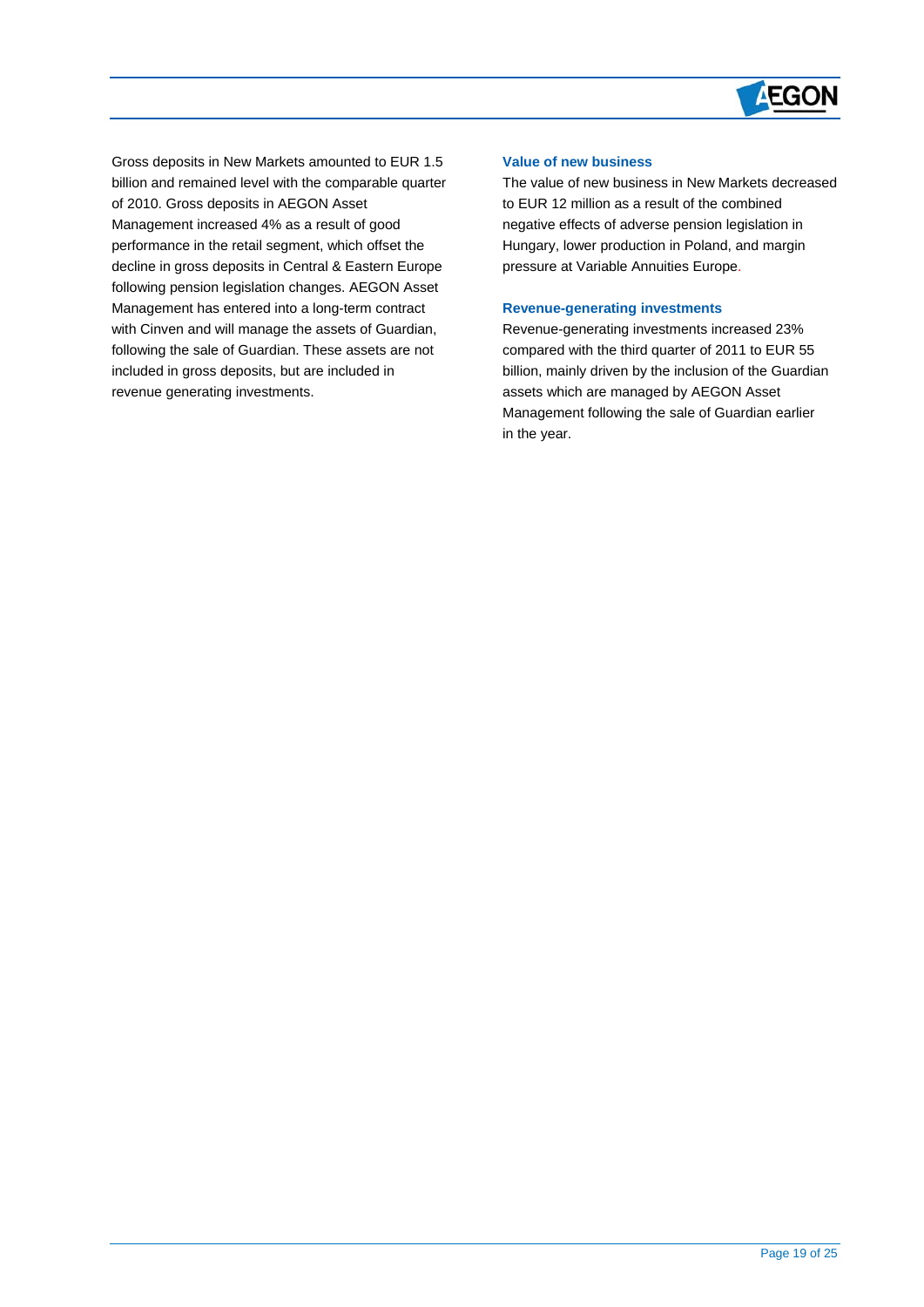

Gross deposits in New Markets amounted to EUR 1.5 billion and remained level with the comparable quarter of 2010. Gross deposits in AEGON Asset Management increased 4% as a result of good performance in the retail segment, which offset the decline in gross deposits in Central & Eastern Europe following pension legislation changes. AEGON Asset Management has entered into a long-term contract with Cinven and will manage the assets of Guardian, following the sale of Guardian. These assets are not included in gross deposits, but are included in revenue generating investments.

 $\overline{a}$ 

#### **Value of new business**

The value of new business in New Markets decreased to EUR 12 million as a result of the combined negative effects of adverse pension legislation in Hungary, lower production in Poland, and margin pressure at Variable Annuities Europe.

#### **Revenue-generating investments**

Revenue-generating investments increased 23% compared with the third quarter of 2011 to EUR 55 billion, mainly driven by the inclusion of the Guardian assets which are managed by AEGON Asset Management following the sale of Guardian earlier in the year.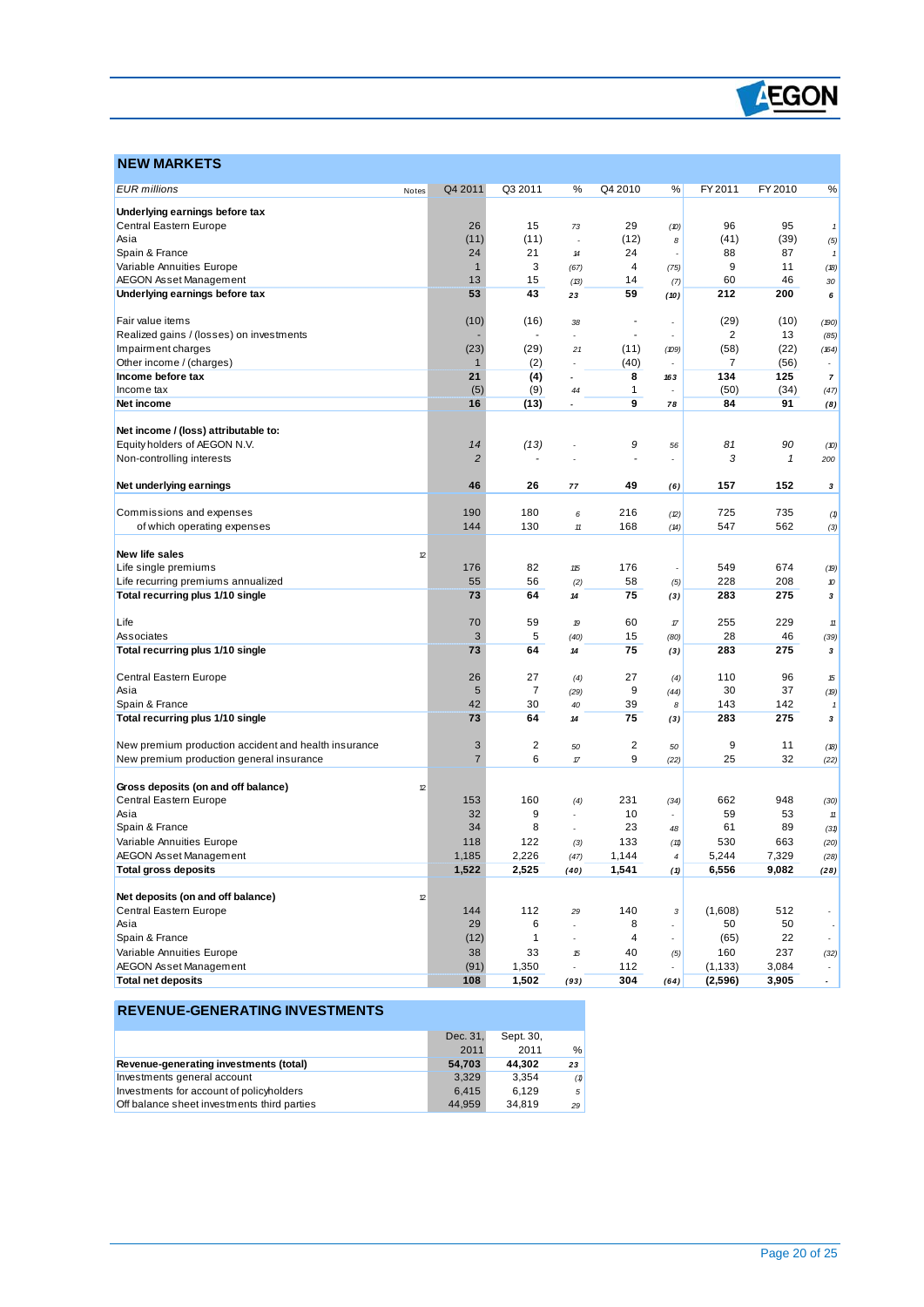

### **NEW MARKETS**

 $\overline{a}$ 

| <b>EUR</b> millions                                  | Notes | Q4 2011        | Q3 2011        | ℅                        | Q4 2010 | %              | FY 2011  | FY 2010      | %                        |
|------------------------------------------------------|-------|----------------|----------------|--------------------------|---------|----------------|----------|--------------|--------------------------|
| Underlying earnings before tax                       |       |                |                |                          |         |                |          |              |                          |
| Central Eastern Europe                               |       | 26             | 15             | 73                       | 29      | (D)            | 96       | 95           | $\mathbf{1}$             |
| Asia                                                 |       | (11)           | (11)           |                          | (12)    | 8              | (41)     | (39)         | (5)                      |
| Spain & France                                       |       | 24             | 21             | 14                       | 24      |                | 88       | 87           | 1                        |
| Variable Annuities Europe                            |       | $\mathbf{1}$   | 3              | (67)                     | 4       | (75)           | 9        | 11           | (18)                     |
| <b>AEGON Asset Management</b>                        |       | 13             | 15             | (13)                     | 14      | (7)            | 60       | 46           | 30                       |
| Underlying earnings before tax                       |       | 53             | 43             | 23                       | 59      | (10)           | 212      | 200          | 6                        |
| Fair value items                                     |       | (10)           | (16)           | 38                       |         |                | (29)     | (10)         | (190)                    |
| Realized gains / (losses) on investments             |       |                |                |                          |         |                | 2        | 13           | (85)                     |
| Impairment charges                                   |       | (23)           | (29)           | 21                       | (11)    | (109)          | (58)     | (22)         | (164)                    |
| Other income / (charges)                             |       | $\mathbf{1}$   | (2)            | ÷                        | (40)    |                | 7        | (56)         |                          |
| Income before tax                                    |       | 21             | (4)            |                          | 8       | 163            | 134      | 125          | $\boldsymbol{7}$         |
| Income tax                                           |       | (5)            | (9)            | 44                       | 1       |                | (50)     | (34)         | (47)                     |
| Net income                                           |       | 16             | (13)           | ٠                        | 9       | 78             | 84       | 91           | (8)                      |
| Net income / (loss) attributable to:                 |       |                |                |                          |         |                |          |              |                          |
| Equity holders of AEGON N.V.                         |       | 14             | (13)           |                          | 9       | 56             | 81       | 90           | (10)                     |
| Non-controlling interests                            |       | $\overline{2}$ |                |                          |         |                | 3        | $\mathbf{1}$ | 200                      |
| Net underlying earnings                              |       | 46             | 26             | 77                       | 49      | (6)            | 157      | 152          | 3                        |
|                                                      |       |                |                |                          |         |                |          |              |                          |
| Commissions and expenses                             |       | 190            | 180            | 6                        | 216     | (2)            | 725      | 735          | (1)                      |
| of which operating expenses                          |       | 144            | 130            | $11\,$                   | 168     | (14)           | 547      | 562          | (3)                      |
| <b>New life sales</b>                                | 12    |                |                |                          |         |                |          |              |                          |
| Life single premiums                                 |       | 176            | 82             | 115                      | 176     |                | 549      | 674          | (19)                     |
| Life recurring premiums annualized                   |       | 55             | 56             | (2)                      | 58      | (5)            | 228      | 208          | 10                       |
| Total recurring plus 1/10 single                     |       | 73             | 64             | 14                       | 75      | (3)            | 283      | 275          | 3                        |
| Life                                                 |       | 70             | 59             | 19                       | 60      | $\sqrt{n}$     | 255      | 229          | 11                       |
| Associates                                           |       | 3              | 5              | (40)                     | 15      | (80)           | 28       | 46           | (39)                     |
| Total recurring plus 1/10 single                     |       | 73             | 64             | 14                       | 75      | (3)            | 283      | 275          | 3                        |
| Central Eastern Europe                               |       | 26             | 27             | (4)                      | 27      | (4)            | 110      | 96           | 15                       |
| Asia                                                 |       | 5              | $\overline{7}$ | (29)                     | 9       | (44)           | 30       | 37           | (19)                     |
| Spain & France                                       |       | 42             | 30             | 40                       | 39      | 8              | 143      | 142          | 1                        |
| Total recurring plus 1/10 single                     |       | 73             | 64             | 14                       | 75      | (3)            | 283      | 275          | 3                        |
| New premium production accident and health insurance |       | 3              | 2              | 50                       | 2       | 50             | 9        | 11           | (18)                     |
| New premium production general insurance             |       | $\overline{7}$ | 6              | $\sqrt{n}$               | 9       | (22)           | 25       | 32           | (22)                     |
|                                                      |       |                |                |                          |         |                |          |              |                          |
| Gross deposits (on and off balance)                  | 12    |                |                |                          |         |                |          |              |                          |
| Central Eastern Europe                               |       | 153            | 160            | (4)                      | 231     | (34)           | 662      | 948          | (30)                     |
| Asia                                                 |       | 32             | 9              |                          | 10      |                | 59       | 53           | $11\,$                   |
| Spain & France                                       |       | 34             | 8              |                          | 23      | 48             | 61       | 89           | (31)                     |
| Variable Annuities Europe                            |       | 118            | 122            | (3)                      | 133     | (11)           | 530      | 663          | (20)                     |
| <b>AEGON Asset Management</b>                        |       | 1,185          | 2,226          | (47)                     | 1,144   | 4              | 5,244    | 7,329        | (28)                     |
| Total gross deposits                                 |       | 1,522          | 2,525          | (40)                     | 1,541   | (1)            | 6,556    | 9,082        | (28)                     |
| Net deposits (on and off balance)                    | 12    |                |                |                          |         |                |          |              |                          |
| Central Eastern Europe                               |       | 144            | 112            | 29                       | 140     | 3              | (1,608)  | 512          | $\overline{\phantom{a}}$ |
| Asia                                                 |       | 29             | 6              | $\overline{a}$           | 8       | ٠              | 50       | 50           | $\overline{\phantom{a}}$ |
| Spain & France                                       |       | (12)           | $\mathbf{1}$   | $\overline{a}$           | 4       | $\overline{a}$ | (65)     | 22           | $\overline{\phantom{a}}$ |
| Variable Annuities Europe                            |       | 38             | 33             | 15                       | 40      | (5)            | 160      | 237          | (32)                     |
| <b>AEGON Asset Management</b>                        |       | (91)           | 1,350          | $\overline{\phantom{a}}$ | 112     |                | (1, 133) | 3,084        | $\overline{\phantom{a}}$ |
| <b>Total net deposits</b>                            |       | 108            | 1,502          | (93)                     | 304     | (64)           | (2,596)  | 3,905        | $\sim$                   |

### **REVENUE-GENERATING INVESTMENTS**

|                                             | Dec. 31. | Sept. 30. |     |
|---------------------------------------------|----------|-----------|-----|
|                                             | 2011     | 2011      | %   |
| Revenue-generating investments (total)      | 54.703   | 44.302    | 23  |
| Investments general account                 | 3.329    | 3.354     | (1) |
| Investments for account of policyholders    | 6.415    | 6.129     | -5  |
| Off balance sheet investments third parties | 44.959   | 34.819    | 29  |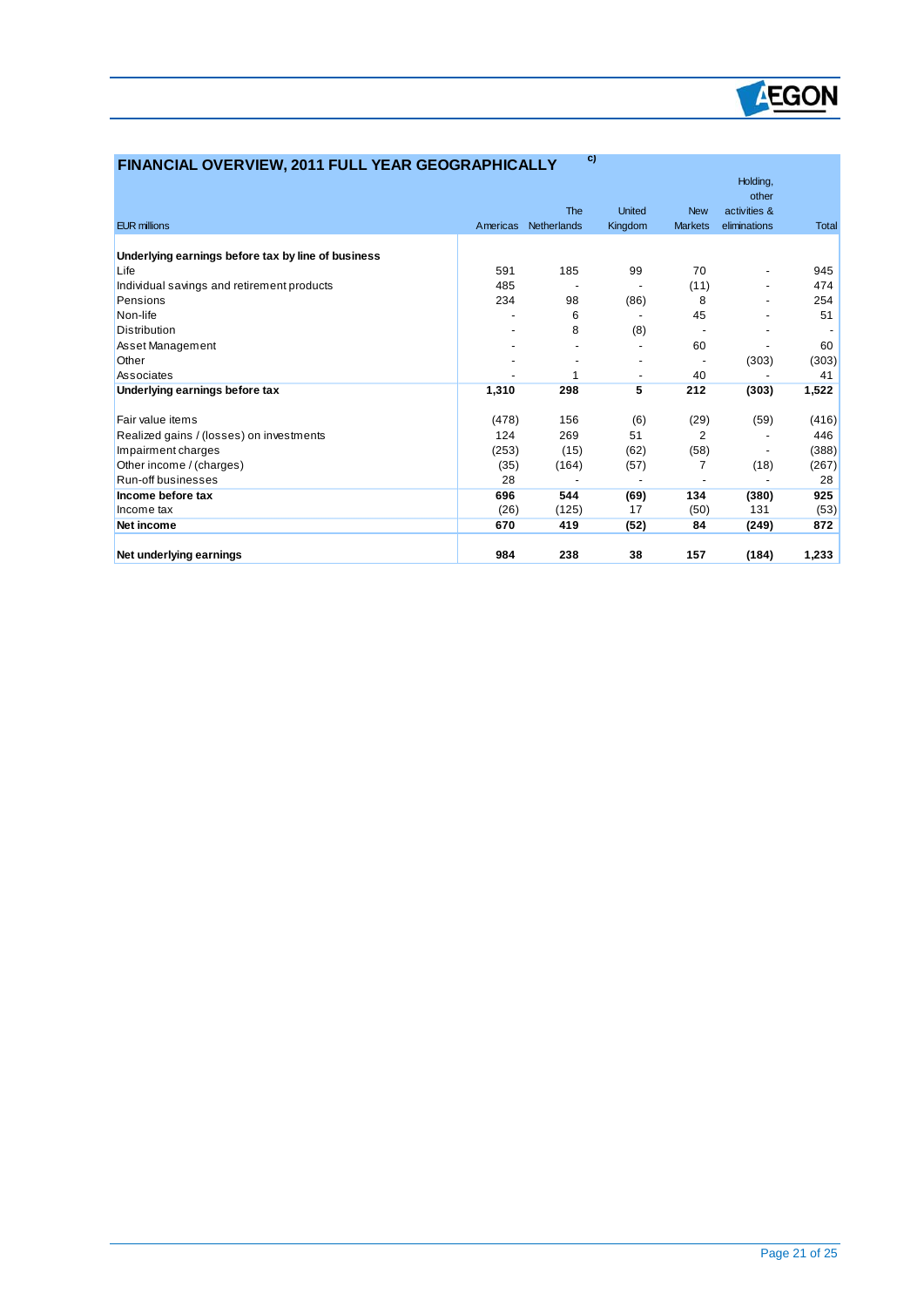

| FINANCIAL OVERVIEW, 2011 FULL YEAR GEOGRAPHICALLY  |          | C)          |                          |                |                          |       |
|----------------------------------------------------|----------|-------------|--------------------------|----------------|--------------------------|-------|
|                                                    |          |             |                          |                | Holding,                 |       |
|                                                    |          |             |                          |                | other                    |       |
|                                                    |          | The         | <b>United</b>            | <b>New</b>     | activities &             |       |
| <b>EUR millions</b>                                | Americas | Netherlands | Kingdom                  | <b>Markets</b> | eliminations             | Total |
| Underlying earnings before tax by line of business |          |             |                          |                |                          |       |
| Life                                               | 591      | 185         | 99                       | 70             | $\overline{\phantom{a}}$ | 945   |
| Individual savings and retirement products         | 485      |             |                          | (11)           |                          | 474   |
| Pensions                                           | 234      | 98          | (86)                     | 8              |                          | 254   |
| Non-life                                           |          | 6           |                          | 45             |                          | 51    |
| Distribution                                       |          | 8           | (8)                      |                |                          |       |
| Asset Management                                   |          |             |                          | 60             |                          | 60    |
| Other                                              |          |             |                          |                | (303)                    | (303) |
| Associates                                         |          | 1           | $\overline{\phantom{a}}$ | 40             |                          | 41    |
| Underlying earnings before tax                     | 1,310    | 298         | 5                        | 212            | (303)                    | 1,522 |
|                                                    |          |             |                          |                |                          |       |
| Fair value items                                   | (478)    | 156         | (6)                      | (29)           | (59)                     | (416) |
| Realized gains / (losses) on investments           | 124      | 269         | 51                       | $\overline{2}$ |                          | 446   |
| Impairment charges                                 | (253)    | (15)        | (62)                     | (58)           |                          | (388) |
| Other income / (charges)                           | (35)     | (164)       | (57)                     | 7              | (18)                     | (267) |
| Run-off businesses                                 | 28       |             |                          |                |                          | 28    |
| Income before tax                                  | 696      | 544         | (69)                     | 134            | (380)                    | 925   |
| Income tax                                         | (26)     | (125)       | 17                       | (50)           | 131                      | (53)  |
| Net income                                         | 670      | 419         | (52)                     | 84             | (249)                    | 872   |
|                                                    |          |             |                          |                |                          |       |
| Net underlying earnings                            | 984      | 238         | 38                       | 157            | (184)                    | 1,233 |

 $\overline{a}$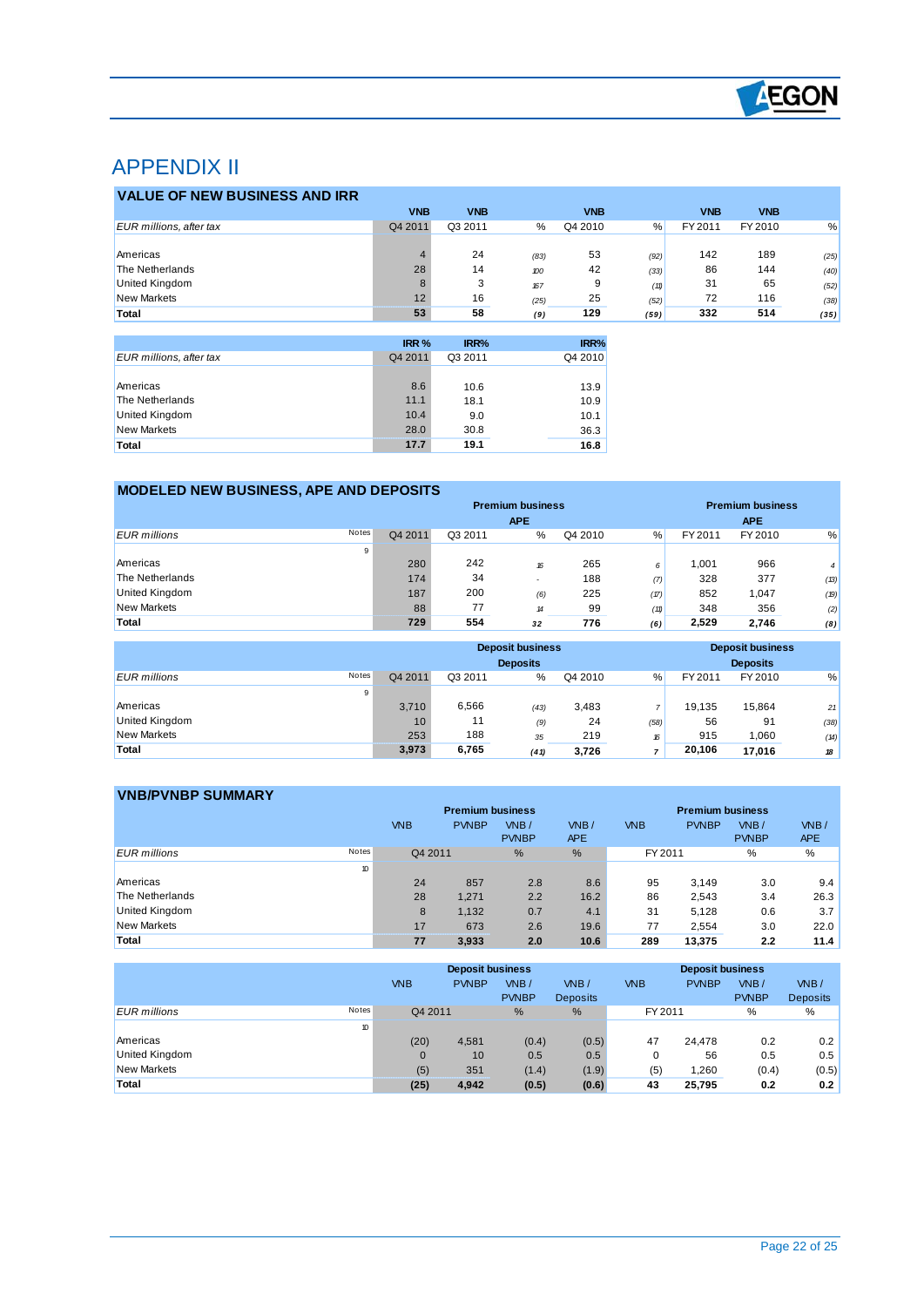

# APPENDIX II

 $\overline{a}$ 

|                                | <b>VNB</b> | <b>VNB</b> |      | <b>VNB</b> |      | <b>VNB</b> | <b>VNB</b> |      |
|--------------------------------|------------|------------|------|------------|------|------------|------------|------|
| <b>EUR millions, after tax</b> | Q4 2011    | Q3 2011    | %    | Q4 2010    | %    | FY 2011    | FY 2010    | %    |
|                                |            |            |      |            |      |            |            |      |
| Americas                       |            | 24         | (83) | 53         | (92) | 142        | 189        | (25) |
| The Netherlands                | 28         | 14         | 100  | 42         | (33) | 86         | 144        | (40) |
| United Kingdom                 | 8          | 3          | 167  | 9          | (11) | 31         | 65         | (52) |
| <b>New Markets</b>             | 12         | 16         | (25) | 25         | (52) | 72         | 116        | (38) |
| Total                          | 53         | 58         | (9)  | 129        | (59) | 332        | 514        | (35) |

|                         | IRR %   | IRR%    | IRR%    |
|-------------------------|---------|---------|---------|
| EUR millions, after tax | Q4 2011 | Q3 2011 | Q4 2010 |
|                         |         |         |         |
| Americas                | 8.6     | 10.6    | 13.9    |
| The Netherlands         | 11.1    | 18.1    | 10.9    |
| <b>United Kingdom</b>   | 10.4    | 9.0     | 10.1    |
| New Markets             | 28.0    | 30.8    | 36.3    |
| Total                   | 17.7    | 19.1    | 16.8    |

### **MODELED NEW BUSINESS, APE AND DEPOSITS**

|                              | <b>Premium business</b> |         |                            |         |      | <b>Premium business</b> |            |                |
|------------------------------|-------------------------|---------|----------------------------|---------|------|-------------------------|------------|----------------|
|                              |                         |         | <b>APE</b>                 |         |      |                         | <b>APE</b> |                |
| Notes<br><b>EUR</b> millions | Q4 2011                 | Q3 2011 | %                          | Q4 2010 | %    | FY 2011                 | FY 2010    | %              |
| 9                            |                         |         |                            |         |      |                         |            |                |
| Americas                     | 280                     | 242     | 16                         | 265     | 6    | .001                    | 966        | $\overline{4}$ |
| The Netherlands              | 174                     | 34      |                            | 188     | (7)  | 328                     | 377        | (13)           |
| United Kingdom               | 187                     | 200     | (6)                        | 225     | (17) | 852                     | 1,047      | (19)           |
| <b>New Markets</b>           | 88                      | 77      | $\boldsymbol{\mathcal{H}}$ | 99      | (11) | 348                     | 356        | (2)            |
| Total                        | 729                     | 554     | 32                         | 776     | (6)  | 2,529                   | 2.746      | (8)            |

|                                     |         |         | <b>Deposit business</b><br><b>Deposits</b> |         |      |         | <b>Deposit business</b><br><b>Deposits</b> |      |
|-------------------------------------|---------|---------|--------------------------------------------|---------|------|---------|--------------------------------------------|------|
| <b>Notes</b><br><b>EUR</b> millions | Q4 2011 | Q3 2011 | %                                          | Q4 2010 | %    | FY 2011 | FY 2010                                    | %    |
| 9                                   |         |         |                                            |         |      |         |                                            |      |
| Americas                            | 3.710   | 6,566   | (43)                                       | 3,483   | ٠    | 19.135  | 15.864                                     | 21   |
| <b>United Kingdom</b>               | 10      | 11      | (9)                                        | 24      | (58) | 56      | 91                                         | (38) |
| <b>New Markets</b>                  | 253     | 188     | 35                                         | 219     | 16   | 915     | 1,060                                      | (14) |
| Total                               | 3,973   | 6,765   | (41)                                       | 3,726   | ۰,   | 20,106  | 17,016                                     | 18   |

| <b>VNB/PVNBP SUMMARY</b>     |            |                         |               |            |            |                         |              |            |
|------------------------------|------------|-------------------------|---------------|------------|------------|-------------------------|--------------|------------|
|                              |            | <b>Premium business</b> |               |            |            | <b>Premium business</b> |              |            |
|                              | <b>VNB</b> | <b>PVNBP</b>            | $W$ B/        | VNB/       | <b>VNB</b> | <b>PVNBP</b>            | VNB/         | VNB/       |
|                              |            |                         | <b>PVNBP</b>  | <b>APE</b> |            |                         | <b>PVNBP</b> | <b>APE</b> |
| <b>Notes</b><br>EUR millions | Q4 2011    |                         | $\frac{9}{6}$ | %          | FY 2011    |                         | %            | %          |
| 10                           |            |                         |               |            |            |                         |              |            |
| Americas                     | 24         | 857                     | 2.8           | 8.6        | 95         | 3.149                   | 3.0          | 9.4        |
| The Netherlands              | 28         | 1.271                   | 2.2           | 16.2       | 86         | 2,543                   | 3.4          | 26.3       |
| United Kingdom               | 8          | 1,132                   | 0.7           | 4.1        | 31         | 5.128                   | 0.6          | 3.7        |
| <b>New Markets</b>           | 17         | 673                     | 2.6           | 19.6       | 77         | 2.554                   | 3.0          | 22.0       |
| Total                        | 77         | 3.933                   | 2.0           | 10.6       | 289        | 13,375                  | 2.2          | 11.4       |

|                     |              | <b>Deposit business</b> |              |                        |                         | <b>Deposit business</b> |              |                      |                         |
|---------------------|--------------|-------------------------|--------------|------------------------|-------------------------|-------------------------|--------------|----------------------|-------------------------|
|                     |              | <b>VNB</b>              | <b>PVNBP</b> | $W$ B/<br><b>PVNBP</b> | VNB/<br><b>Deposits</b> | <b>VNB</b>              | <b>PVNBP</b> | VNB/<br><b>PVNBP</b> | VNB/<br><b>Deposits</b> |
| <b>EUR</b> millions | <b>Notes</b> | Q4 2011                 |              | $\frac{9}{6}$          | %                       | FY 2011                 |              | $\%$                 | %                       |
|                     | 10           |                         |              |                        |                         |                         |              |                      |                         |
| Americas            |              | (20)                    | 4.581        | (0.4)                  | (0.5)                   | 47                      | 24.478       | 0.2                  | 0.2                     |
| United Kingdom      |              | $\mathbf{0}$            | 10           | 0.5                    | 0.5                     | $\Omega$                | 56           | 0.5                  | 0.5                     |
| <b>New Markets</b>  |              | (5)                     | 351          | (1.4)                  | (1.9)                   | (5)                     | 1,260        | (0.4)                | (0.5)                   |
| Total               |              | (25)                    | 4,942        | (0.5)                  | (0.6)                   | 43                      | 25,795       | 0.2                  | 0.2                     |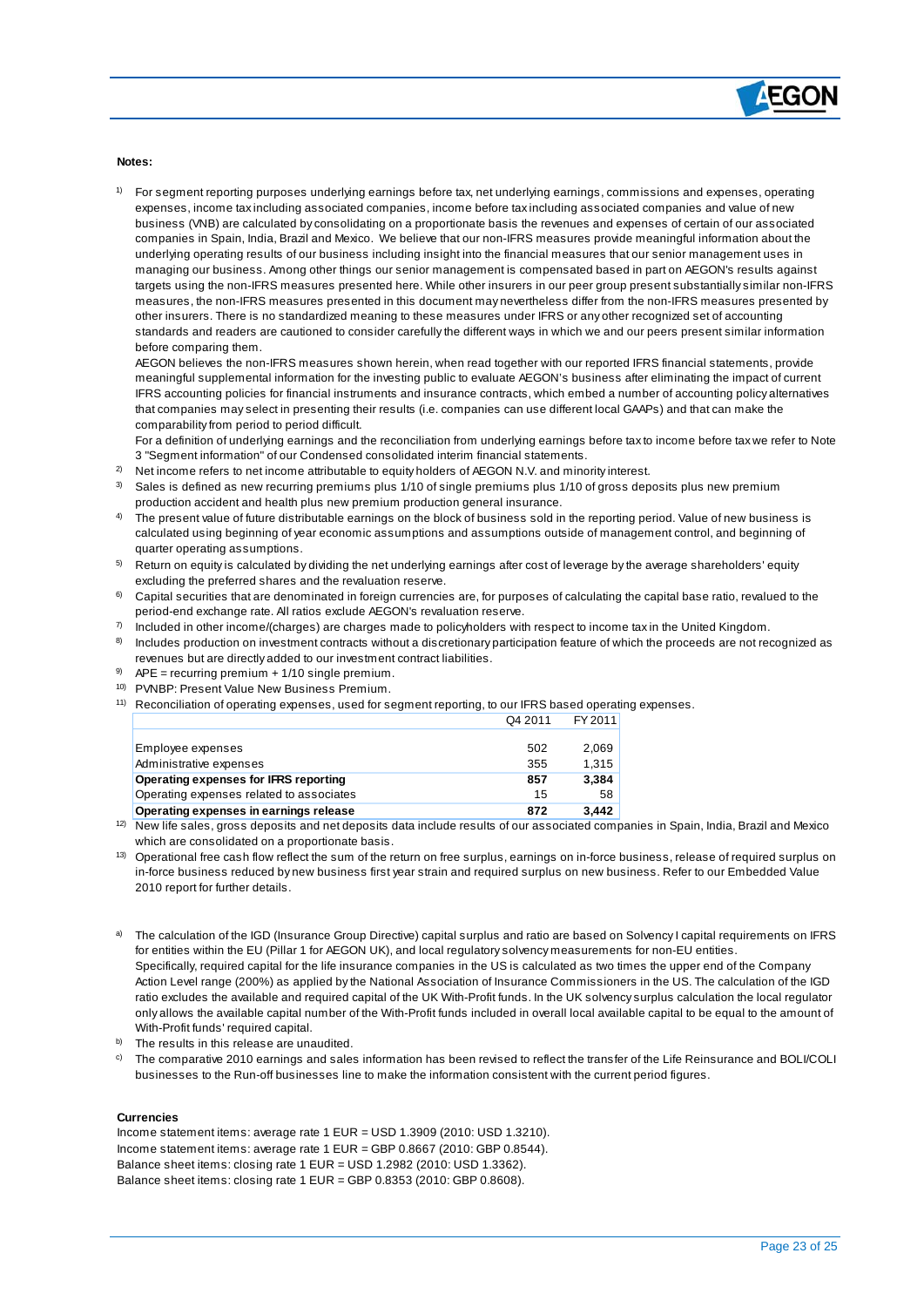

#### **Notes:**

 $\overline{a}$ 

1) For segment reporting purposes underlying earnings before tax, net underlying earnings, commissions and expenses, operating expenses, income tax including associated companies, income before tax including associated companies and value of new business (VNB) are calculated by consolidating on a proportionate basis the revenues and expenses of certain of our associated companies in Spain, India, Brazil and Mexico. We believe that our non-IFRS measures provide meaningful information about the underlying operating results of our business including insight into the financial measures that our senior management uses in managing our business. Among other things our senior management is compensated based in part on AEGON's results against targets using the non-IFRS measures presented here. While other insurers in our peer group present substantially similar non-IFRS measures, the non-IFRS measures presented in this document may nevertheless differ from the non-IFRS measures presented by other insurers. There is no standardized meaning to these measures under IFRS or any other recognized set of accounting standards and readers are cautioned to consider carefully the different ways in which we and our peers present similar information before comparing them.

AEGON believes the non-IFRS measures shown herein, when read together with our reported IFRS financial statements, provide meaningful supplemental information for the investing public to evaluate AEGON's business after eliminating the impact of current IFRS accounting policies for financial instruments and insurance contracts, which embed a number of accounting policy alternatives that companies may select in presenting their results (i.e. companies can use different local GAAPs) and that can make the comparability from period to period difficult.

For a definition of underlying earnings and the reconciliation from underlying earnings before tax to income before tax we refer to Note 3 "Segment information" of our Condensed consolidated interim financial statements.

- $^{2)}$  Net income refers to net income attributable to equity holders of AEGON N.V. and minority interest.
- $3$  Sales is defined as new recurring premiums plus 1/10 of single premiums plus 1/10 of gross deposits plus new premium production accident and health plus new premium production general insurance.
- 4) The present value of future distributable earnings on the block of business sold in the reporting period. Value of new business is calculated using beginning of year economic assumptions and assumptions outside of management control, and beginning of quarter operating assumptions.
- $^\mathrm{5)}$  Return on equity is calculated by dividing the net underlying earnings after cost of leverage by the average shareholders' equity excluding the preferred shares and the revaluation reserve.
- $6$  Capital securities that are denominated in foreign currencies are, for purposes of calculating the capital base ratio, revalued to the period-end exchange rate. All ratios exclude AEGON's revaluation reserve.
- $^{7)}$  Included in other income/(charges) are charges made to policyholders with respect to income tax in the United Kingdom.
- 8) Includes production on investment contracts without a discretionary participation feature of which the proceeds are not recognized as revenues but are directly added to our investment contract liabilities.
- $9$  APE = recurring premium + 1/10 single premium.
- 10) PVNBP: Present Value New Business Premium.
- <sup>11)</sup> Reconciliation of operating expenses, used for segment reporting, to our IFRS based operating expenses.  $Q4.2044$   $T1.204$

|                                          | $U + 2U + 1$ | <b>FIZULI</b> |
|------------------------------------------|--------------|---------------|
|                                          |              |               |
| Employee expenses                        | 502          | 2.069         |
| Administrative expenses                  | 355          | 1.315         |
| Operating expenses for IFRS reporting    | 857          | 3.384         |
| Operating expenses related to associates | 15           | 58            |
| Operating expenses in earnings release   | 872          | 3.442         |
|                                          |              |               |

<sup>12)</sup> New life sales, gross deposits and net deposits data include results of our associated companies in Spain, India, Brazil and Mexico which are consolidated on a proportionate basis.

- <sup>13)</sup> Operational free cash flow reflect the sum of the return on free surplus, earnings on in-force business, release of required surplus on in-force business reduced by new business first year strain and required surplus on new business. Refer to our Embedded Value 2010 report for further details.
- a) The calculation of the IGD (Insurance Group Directive) capital surplus and ratio are based on Solvency I capital requirements on IFRS for entities within the EU (Pillar 1 for AEGON UK), and local regulatory solvency measurements for non-EU entities. Specifically, required capital for the life insurance companies in the US is calculated as two times the upper end of the Company Action Level range (200%) as applied by the National Association of Insurance Commissioners in the US. The calculation of the IGD ratio excludes the available and required capital of the UK With-Profit funds. In the UK solvency surplus calculation the local regulator only allows the available capital number of the With-Profit funds included in overall local available capital to be equal to the amount of With-Profit funds' required capital.
- b) The results in this release are unaudited.
- <sup>c)</sup> The comparative 2010 earnings and sales information has been revised to reflect the transfer of the Life Reinsurance and BOLI/COLI businesses to the Run-off businesses line to make the information consistent with the current period figures.

#### **Currencies**

Income statement items: average rate 1 EUR = USD 1.3909 (2010: USD 1.3210). Income statement items: average rate 1 EUR = GBP 0.8667 (2010: GBP 0.8544). Balance sheet items: closing rate 1 EUR = USD 1.2982 (2010: USD 1.3362). Balance sheet items: closing rate 1 EUR = GBP 0.8353 (2010: GBP 0.8608).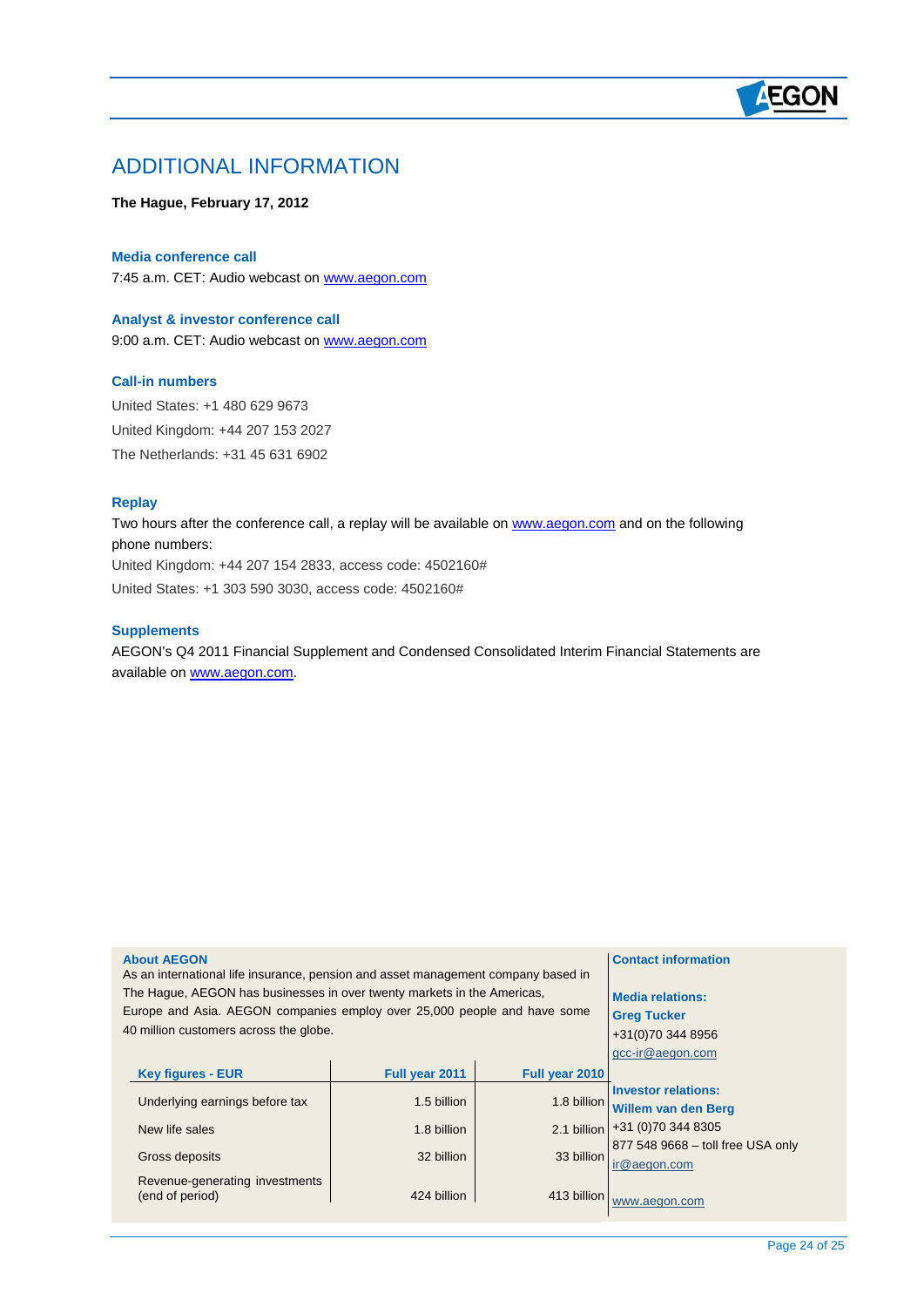# **AEGON**

## ADDITIONAL INFORMATION

### **The Hague, February 17, 2012**

#### **Media conference call**

7:45 a.m. CET: Audio webcast on [www.aegon.com](http://www.aegon.com/)

# **Analyst & investor conference call**

9:00 a.m. CET: Audio webcast on [www.aegon.com](http://www.aegon.com/)

### **Call-in numbers**

United States: +1 480 629 9673 United Kingdom: +44 207 153 2027 The Netherlands: +31 45 631 6902

#### **Replay**

 $\overline{a}$ 

Two hours after the conference call, a replay will be available on [www.aegon.com](http://www.aegon.com/) and on the following phone numbers: United Kingdom: +44 207 154 2833, access code: 4502160# United States: +1 303 590 3030, access code: 4502160#

#### **Supplements**

AEGON's Q4 2011 Financial Supplement and Condensed Consolidated Interim Financial Statements are available on [www.aegon.com](http://www.aegon.com/).

| <b>About AEGON</b><br>As an international life insurance, pension and asset management company based in<br>The Hague, AEGON has businesses in over twenty markets in the Americas,<br>Europe and Asia. AEGON companies employ over 25,000 people and have some<br>40 million customers across the globe. | <b>Contact information</b><br><b>Media relations:</b><br><b>Greg Tucker</b><br>+31(0)70 344 8956<br>gcc-ir@aegon.com |                |                                                   |
|----------------------------------------------------------------------------------------------------------------------------------------------------------------------------------------------------------------------------------------------------------------------------------------------------------|----------------------------------------------------------------------------------------------------------------------|----------------|---------------------------------------------------|
| <b>Key figures - EUR</b>                                                                                                                                                                                                                                                                                 | Full year 2011                                                                                                       | Full year 2010 |                                                   |
| Underlying earnings before tax                                                                                                                                                                                                                                                                           | 1.5 billion                                                                                                          | 1.8 billion    | <b>Investor relations:</b><br>Willem van den Berg |
| New life sales                                                                                                                                                                                                                                                                                           | 1.8 billion                                                                                                          |                | 2.1 billion +31 (0)70 344 8305                    |
| Gross deposits                                                                                                                                                                                                                                                                                           | 32 billion                                                                                                           | 33 billion     | 877 548 9668 - toll free USA only<br>ir@aegon.com |
| Revenue-generating investments<br>(end of period)                                                                                                                                                                                                                                                        | 424 billion                                                                                                          | 413 billion    | www.aegon.com                                     |